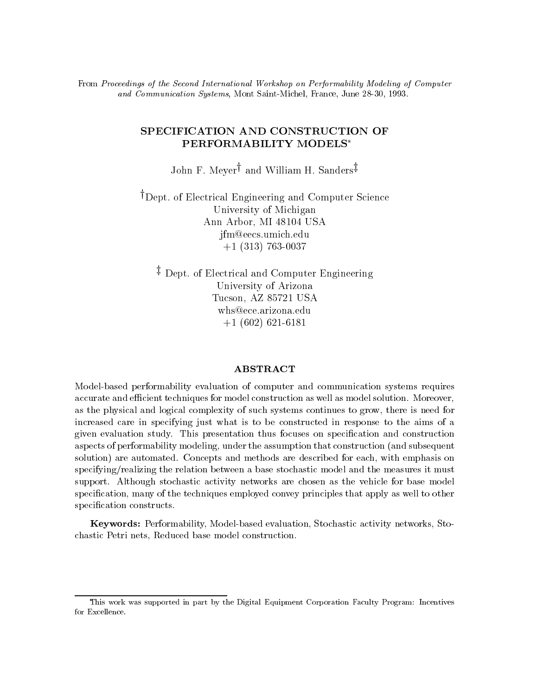From Proceedings of the Second International Workshop on Performability Modeling of Computer and Communication Systems, Mont Saint-Michel, France, June 28-30, 1993.

# SPECIFICATION AND CONSTRUCTION OF PERFORMABILITY MODELS

John F. Meyer<sup>†</sup> and William H. Sanders<sup>‡</sup>

<sup>†</sup>Dept. of Electrical Engineering and Computer Science University of Michigan Ann Arbor, MI 48104 USA jfm@eecs.umich.edu +1 (313) 763-0037

<sup>z</sup> Dept. of Electrical and Computer Engineering University of Arizona Tucson, AZ 85721 USA +1 (602) 621-6181

## **ABSTRACT**

Model-based performability evaluation of computer and communication systems requires accurate and efficient techniques for model construction as well as model solution. Moreover, as the physical and logical complexity of such systems continues to grow, there is need for increased care in specifying just what is to be constructed in response to the aims of a given evaluation study. This presentation thus focuses on specication and construction aspects of performability modeling, under the assumption that construction (and subsequent solution) are automated. Concepts and methods are described for each, with emphasis on specifying/realizing the relation between a base stochastic model and the measures it must support. Although stochastic activity networks are chosen as the vehicle for base model specification, many of the techniques employed convey principles that apply as well to other specification constructs.

Keywords: Performability, Model-based evaluation, Stochastic activity networks, Stochastic Petri nets, Reduced base model construction.

This work was supported in part by the Digital Equipment Corporation Faculty Program: Incentives for Excellence.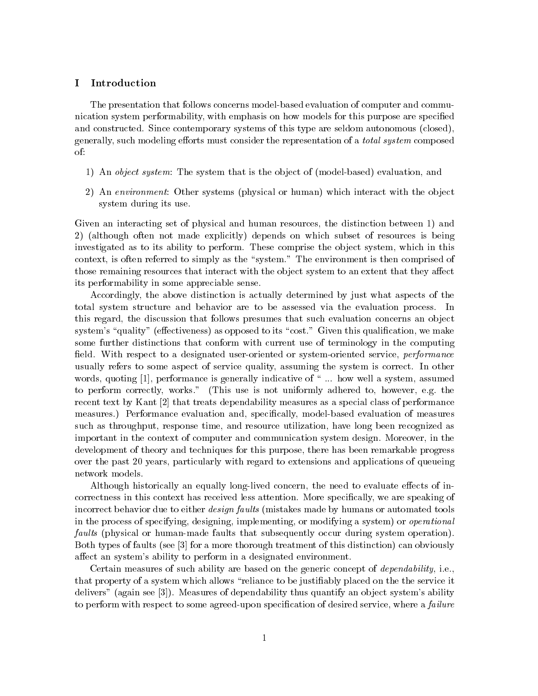#### $\bf{I}$ **Introduction**

The presentation that follows concerns model-based evaluation of computer and communication system performability, with emphasis on how models for this purpose are specied and constructed. Since contemporary systems of this type are seldom autonomous (closed), generally, such modeling efforts must consider the representation of a *total system* composed of:

- 1) An *object system*: The system that is the object of (model-based) evaluation, and
- 2) An environment: Other systems (physical or human) which interact with the object system during its use.

Given an interacting set of physical and human resources, the distinction between 1) and 2) (although often not made explicitly) depends on which subset of resources is being investigated as to its ability to perform. These comprise the object system, which in this context, is often referred to simply as the "system." The environment is then comprised of those remaining resources that interact with the object system to an extent that they affect its performability in some appreciable sense.

Accordingly, the above distinction is actually determined by just what aspects of the total system structure and behavior are to be assessed via the evaluation process. In this regard, the discussion that follows presumes that such evaluation concerns an object system's "quality" (effectiveness) as opposed to its "cost." Given this qualification, we make some further distinctions that conform with current use of terminology in the computing field. With respect to a designated user-oriented or system-oriented service, *performance* usually refers to some aspect of service quality, assuming the system is correct. In other words, quoting [1], performance is generally indicative of  $\cdot$ ... how well a system, assumed to perform correctly, works." (This use is not uniformly adhered to, however, e.g. the recent text by Kant [2] that treats dependability measures as a special class of performance measures.) Performance evaluation and, specifically, model-based evaluation of measures such as throughput, response time, and resource utilization, have long been recognized as important in the context of computer and communication system design. Moreover, in the development of theory and techniques for this purpose, there has been remarkable progress over the past 20 years, particularly with regard to extensions and applications of queueing network models.

Although historically an equally long-lived concern, the need to evaluate effects of incorrectness in this context has received less attention. More specically, we are speaking of incorrect behavior due to either *design faults* (mistakes made by humans or automated tools in the process of specifying, designing, implementing, or modifying a system) or operational faults (physical or human-made faults that subsequently occur during system operation). Both types of faults (see [3] for a more thorough treatment of this distinction) can obviously affect an system's ability to perform in a designated environment.

Certain measures of such ability are based on the generic concept of *dependability*, i.e., that property of a system which allows \reliance to be justiably placed on the the service it delivers" (again see [3]). Measures of dependability thus quantify an object system's ability to perform with respect to some agreed-upon specification of desired service, where a *failure*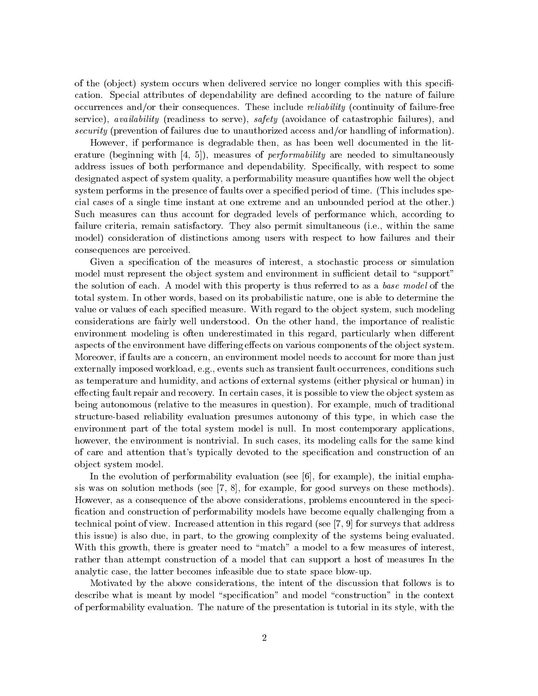of the (object) system occurs when delivered service no longer complies with this specification. Special attributes of dependability are dened according to the nature of failure occurrences and/or their consequences. These include reliability (continuity of failure-free service), availability (readiness to serve), safety (avoidance of catastrophic failures), and security (prevention of failures due to unauthorized access and/or handling of information).

However, if performance is degradable then, as has been well documented in the literature (beginning with  $(4, 5)$ ), measures of *performability* are needed to simultaneously address issues of both performance and dependability. Specifically, with respect to some designated aspect of system quality, a performability measure quantifies how well the object system performs in the presence of faults over a specied period of time. (This includes special cases of a single time instant at one extreme and an unbounded period at the other.) Such measures can thus account for degraded levels of performance which, according to failure criteria, remain satisfactory. They also permit simultaneous (i.e., within the same model) consideration of distinctions among users with respect to how failures and their consequences are perceived.

Given a specification of the measures of interest, a stochastic process or simulation model must represent the object system and environment in sufficient detail to "support" the solution of each. A model with this property is thus referred to as a base model of the total system. In other words, based on its probabilistic nature, one is able to determine the value or values of each specified measure. With regard to the object system, such modeling considerations are fairly well understood. On the other hand, the importance of realistic environment modeling is often underestimated in this regard, particularly when different aspects of the environment have differing effects on various components of the object system. Moreover, if faults are a concern, an environment model needs to account for more than just externally imposed workload, e.g., events such as transient fault occurrences, conditions such as temperature and humidity, and actions of external systems (either physical or human) in effecting fault repair and recovery. In certain cases, it is possible to view the object system as being autonomous (relative to the measures in question). For example, much of traditional structure-based reliability evaluation presumes autonomy of this type, in which case the environment part of the total system model is null. In most contemporary applications, however, the environment is nontrivial. In such cases, its modeling calls for the same kind of care and attention that's typically devoted to the specication and construction of an ob ject system model.

In the evolution of performability evaluation (see  $[6]$ , for example), the initial emphasis was on solution methods (see [7, 8], for example, for good surveys on these methods). However, as a consequence of the above considerations, problems encountered in the speci fication and construction of performability models have become equally challenging from a technical point of view. Increased attention in this regard (see [7, 9] for surveys that address this issue) is also due, in part, to the growing complexity of the systems being evaluated. With this growth, there is greater need to "match" a model to a few measures of interest, rather than attempt construction of a model that can support a host of measures In the analytic case, the latter becomes infeasible due to state space blow-up.

Motivated by the above considerations, the intent of the discussion that follows is to describe what is meant by model "specification" and model "construction" in the context of performability evaluation. The nature of the presentation is tutorial in its style, with the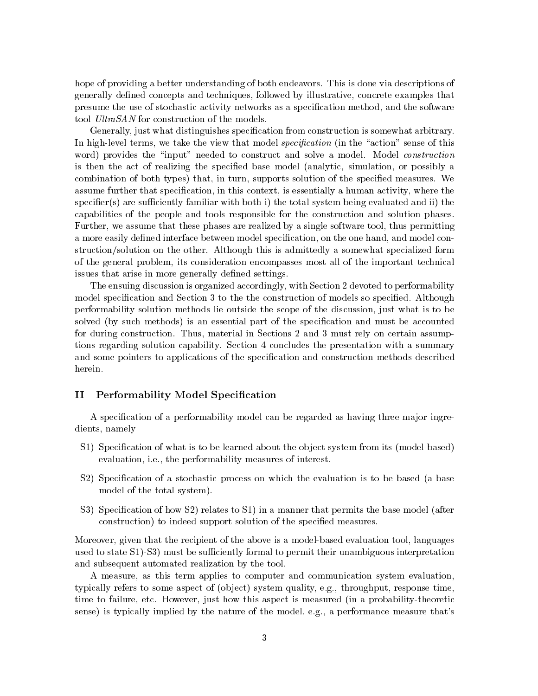hope of providing a better understanding of both endeavors. This is done via descriptions of generally defined concepts and techniques, followed by illustrative, concrete examples that presume the use of stochastic activity networks as a specication method, and the software tool UltraSAN for construction of the models.

Generally, just what distinguishes specification from construction is somewhat arbitrary. In high-level terms, we take the view that model specification (in the "action" sense of this word) provides the "input" needed to construct and solve a model. Model *construction* is then the act of realizing the specified base model (analytic, simulation, or possibly a combination of both types) that, in turn, supports solution of the specied measures. We assume further that specification, in this context, is essentially a human activity, where the  $specific(s)$  are sufficiently familiar with both i) the total system being evaluated and ii) the capabilities of the people and tools responsible for the construction and solution phases. Further, we assume that these phases are realized by a single software tool, thus permitting a more easily defined interface between model specification, on the one hand, and model construction/solution on the other. Although this is admittedly a somewhat specialized form of the general problem, its consideration encompasses most all of the important technical issues that arise in more generally defined settings.

The ensuing discussion is organized accordingly, with Section 2 devoted to performability model specification and Section 3 to the the construction of models so specified. Although performability solution methods lie outside the scope of the discussion, just what is to be solved (by such methods) is an essential part of the specication and must be accounted for during construction. Thus, material in Sections 2 and 3 must rely on certain assumptions regarding solution capability. Section 4 concludes the presentation with a summary and some pointers to applications of the specication and construction methods described herein.

## II Performability Model Specification

A specification of a performability model can be regarded as having three major ingredients, namely

- S1) Specification of what is to be learned about the object system from its (model-based) evaluation, i.e., the performability measures of interest.
- S2) Specification of a stochastic process on which the evaluation is to be based (a base model of the total system).
- S3) Specification of how S2) relates to S1) in a manner that permits the base model (after construction) to indeed support solution of the specied measures.

Moreover, given that the recipient of the above is a model-based evaluation tool, languages used to state S1. S3) must be sufficiently formal to permit their unambiguous interpretation and subsequent automated realization by the tool.

A measure, as this term applies to computer and communication system evaluation, typically refers to some aspect of (object) system quality, e.g., throughput, response time, time to failure, etc. However, just how this aspect is measured (in a probability-theoretic sense) is typically implied by the nature of the model, e.g., a performance measure that's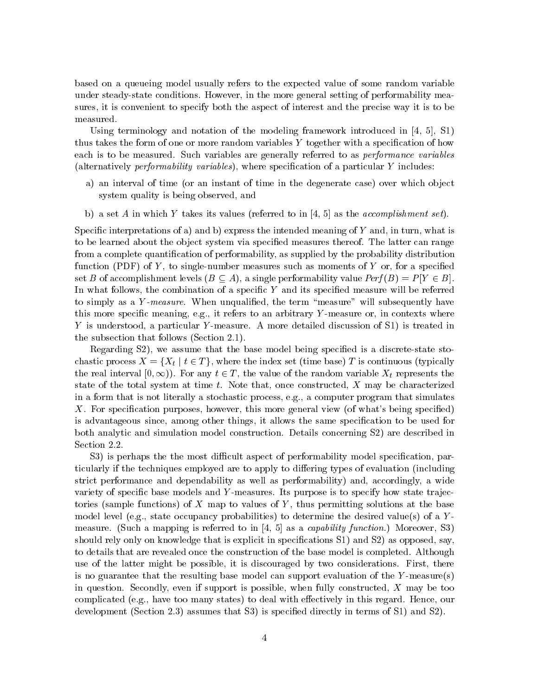based on a queueing model usually refers to the expected value of some random variable under steady-state conditions. However, in the more general setting of performability measures, it is convenient to specify both the aspect of interest and the precise way it is to be measured.

Using terminology and notation of the modeling framework introduced in [4, 5], S1) thus takes the form of one or more random variables Y together with a specication of how each is to be measured. Such variables are generally referred to as performance variables (alternatively *performability variables*), where specification of a particular  $Y$  includes:

- a) an interval of time (or an instant of time in the degenerate case) over which object system quality is being observed, and
- b) a set A in which Y takes its values (referred to in  $[4, 5]$  as the *accomplishment set*).

Specific interpretations of a) and b) express the intended meaning of  $Y$  and, in turn, what is to be learned about the object system via specified measures thereof. The latter can range from a complete quantification of performability, as supplied by the probability distribution function (PDF) of  $Y$ , to single-number measures such as moments of  $Y$  or, for a specified set B of accomplishment levels  $(B \subseteq A)$ , a single performability value  $Perf(B) = P|Y \in B|$ . In what follows, the combination of a specific  $Y$  and its specified measure will be referred to simply as a Y-measure. When unqualified, the term "measure" will subsequently have this more specific meaning, e.g., it refers to an arbitrary  $Y$ -measure or, in contexts where Y is understood, a particular Y-measure. A more detailed discussion of S1) is treated in the subsection that follows (Section 2.1).

Regarding S2), we assume that the base model being specified is a discrete-state stochastic process  $X = \{X_t | t \in T\}$ , where the index set (time base) T is continuous (typically the real interval  $[0,\infty)$ ). For any  $t \in T$ , the value of the random variable  $X_t$  represents the state of the total system at time t. Note that, once constructed,  $X$  may be characterized in a form that is not literally a stochastic process, e.g., a computer program that simulates X. For specification purposes, however, this more general view (of what's being specified) is advantageous since, among other things, it allows the same specification to be used for both analytic and simulation model construction. Details concerning S2) are described in Section 2.2.

S3) is perhaps the the most difficult aspect of performability model specification, particularly if the techniques employed are to apply to differing types of evaluation (including strict performance and dependability as well as performability) and, accordingly, a wide variety of specific base models and Y-measures. Its purpose is to specify how state trajectories (sample functions) of X map to values of Y, thus permitting solutions at the base model level (e.g., state occupancy probabilities) to determine the desired value(s) of a  $Y$ measure. (Such a mapping is referred to in  $\left[4, 5\right]$  as a *capability function.*) Moreover, S3) should rely only on knowledge that is explicit in specifications S1) and S2) as opposed, say, to details that are revealed once the construction of the base model is completed. Although use of the latter might be possible, it is discouraged by two considerations. First, there is no guarantee that the resulting base model can support evaluation of the Y -measure(s) in question. Secondly, even if support is possible, when fully constructed,  $X$  may be too complicated (e.g., have too many states) to deal with effectively in this regard. Hence, our development (Section 2.3) assumes that S3) is specied directly in terms of S1) and S2).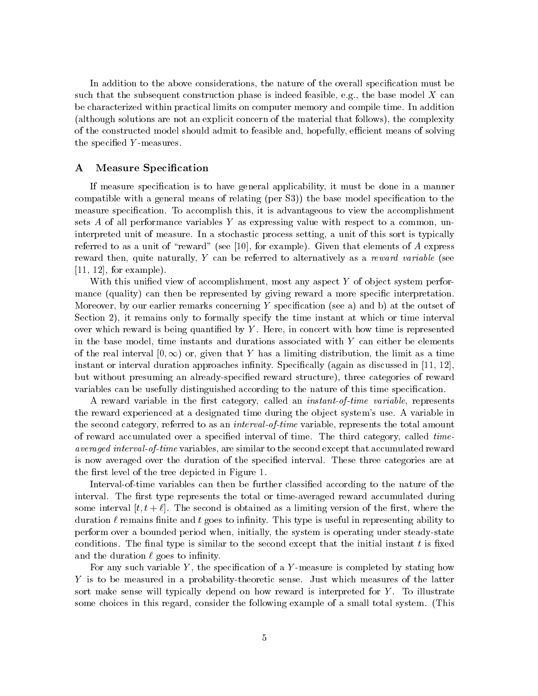In addition to the above considerations, the nature of the overall specification must be such that the subsequent construction phase is indeed feasible, e.g., the base model  $X$  can be characterized within practical limits on computer memory and compile time. In addition (although solutions are not an explicit concern of the material that follows), the complexity of the constructed model should admit to feasible and, hopefully, efficient means of solving the specified Y-measures.

## A Measure Specification

If measure specification is to have general applicability, it must be done in a manner compatible with a general means of relating (per S3)) the base model specication to the measure specication. To accomplish this, it is advantageous to view the accomplishment sets  $A$  of all performance variables  $Y$  as expressing value with respect to a common, uninterpreted unit of measure. In a stochastic process setting, a unit of this sort is typically referred to as a unit of "reward" (see [10], for example). Given that elements of  $A$  express reward then, quite naturally,  $Y$  can be referred to alternatively as a reward variable (see  $[11, 12]$ , for example).

With this unified view of accomplishment, most any aspect  $Y$  of object system performance (quality) can then be represented by giving reward a more specific interpretation. Moreover, by our earlier remarks concerning Y specification (see a) and b) at the outset of Section 2), it remains only to formally specify the time instant at which or time interval over which reward is being quantified by  $Y$ . Here, in concert with how time is represented in the base model, time instants and durations associated with  $Y$  can either be elements of the real interval  $[0,\infty)$  or, given that Y has a limiting distribution, the limit as a time instant or interval duration approaches infinity. Specifically (again as discussed in  $[11, 12]$ ). but without presuming an already-specified reward structure), three categories of reward variables can be usefully distinguished according to the nature of this time specication.

A reward variable in the first category, called an *instant-of-time variable*, represents the reward experienced at a designated time during the object system's use. A variable in the second category, referred to as an *interval-of-time* variable, represents the total amount of reward accumulated over a specified interval of time. The third category, called timeaveraged interval-of-time variables, are similar to the second except that accumulated reward is now averaged over the duration of the specied interval. These three categories are at the first level of the tree depicted in Figure 1.

Interval-of-time variables can then be further classied according to the nature of the interval. The first type represents the total or time-averaged reward accumulated during some interval  $[t, t + \ell]$ . The second is obtained as a limiting version of the first, where the duration  $\ell$  remains finite and t goes to infinity. This type is useful in representing ability to perform over a bounded period when, initially, the system is operating under steady-state conditions. The final type is similar to the second except that the initial instant  $t$  is fixed and the duration  $\ell$  goes to infinity.

For any such variable Y, the specification of a Y-measure is completed by stating how Y is to be measured in a probability-theoretic sense. Just which measures of the latter sort make sense will typically depend on how reward is interpreted for Y. To illustrate some choices in this regard, consider the following example of a small total system. (This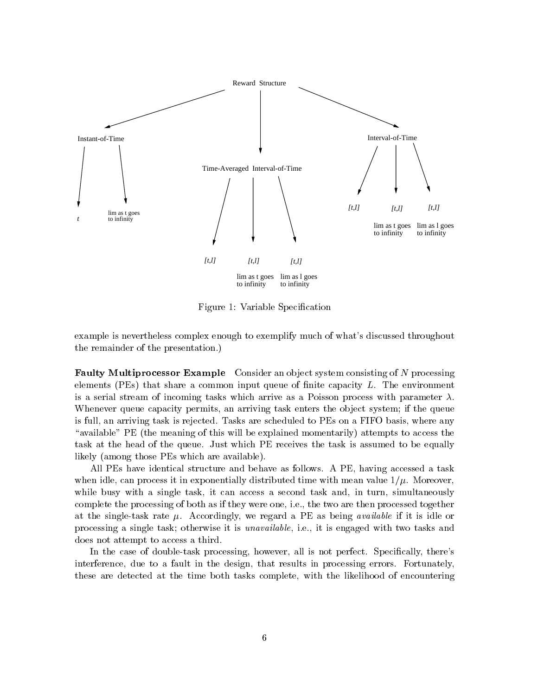

Figure 1: Variable Specification

example is nevertheless complex enough to exemplify much of what's discussed throughout the remainder of the presentation.)

**Faulty Multiprocessor Example** Consider an object system consisting of  $N$  processing elements (PEs) that share a common input queue of finite capacity  $L$ . The environment is a serial stream of incoming tasks which arrive as a Poisson process with parameter  $\lambda$ . Whenever queue capacity permits, an arriving task enters the object system; if the queue is full, an arriving task is rejected. Tasks are scheduled to PEs on a FIFO basis, where any "available" PE (the meaning of this will be explained momentarily) attempts to access the task at the head of the queue. Just which PE receives the task is assumed to be equally likely (among those PEs which are available).

All PEs have identical structure and behave as follows. A PE, having accessed a task when idle, can process it in exponentially distributed time with mean value  $1/\mu$ . Moreover, while busy with a single task, it can access a second task and, in turn, simultaneously complete the processing of both as if they were one, i.e., the two are then processed together at the single-task rate  $\mu$ . Accordingly, we regard a PE as being *available* if it is idle or processing a single task; otherwise it is unavailable, i.e., it is engaged with two tasks and does not attempt to access a third.

In the case of double-task processing, however, all is not perfect. Specifically, there's interference, due to a fault in the design, that results in processing errors. Fortunately, these are detected at the time both tasks complete, with the likelihood of encountering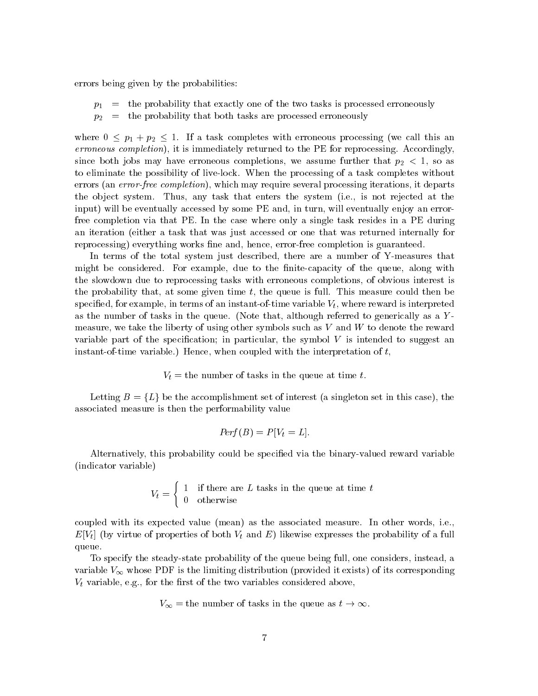errors being given by the probabilities:

- $p_1$  = the probability that exactly one of the two tasks is processed erroneously
- $p_2 =$  the probability that both tasks are processed erroneously

where  $0 \leq p_1 + p_2 \leq 1$ . If a task completes with erroneous processing (we call this an erroneous completion), it is immediately returned to the PE for reprocessing. Accordingly, since both jobs may have erroneous completions, we assume further that  $p_2 < 1$ , so as to eliminate the possibility of live-lock. When the processing of a task completes without errors (an *error-free completion*), which may require several processing iterations, it departs the ob ject system. Thus, any task that enters the system (i.e., is not rejected at the input) will be eventually accessed by some PE and, in turn, will eventually enjoy an errorfree completion via that PE. In the case where only a single task resides in a PE during an iteration (either a task that was just accessed or one that was returned internally for reprocessing) everything works fine and, hence, error-free completion is guaranteed.

In terms of the total system just described, there are a number of Y-measures that might be considered. For example, due to the finite-capacity of the queue, along with the slowdown due to reprocessing tasks with erroneous completions, of obvious interest is the probability that, at some given time  $t$ , the queue is full. This measure could then be specified, for example, in terms of an instant-of-time variable  $V_t$ , where reward is interpreted as the number of tasks in the queue. (Note that, although referred to generically as a Ymeasure, we take the liberty of using other symbols such as  $V$  and  $W$  to denote the reward variable part of the specification; in particular, the symbol  $V$  is intended to suggest an instant-of-time variable.) Hence, when coupled with the interpretation of  $t$ ,

 $V_t =$  the number of tasks in the queue at time t.

Letting  $B = \{L\}$  be the accomplishment set of interest (a singleton set in this case), the associated measure is then the performability value

$$
Perf(B) = P[V_t = L].
$$

Alternatively, this probability could be specied via the binary-valued reward variable (indicator variable)

$$
V_t = \begin{cases} 1 & \text{if there are } L \text{ tasks in the queue at time } t \\ 0 & \text{otherwise} \end{cases}
$$

coupled with its expected value (mean) as the associated measure. In other words, i.e.,  $E[V_t]$  (by virtue of properties of both  $V_t$  and E) likewise expresses the probability of a full queue.

To specify the steady-state probability of the queue being full, one considers, instead, a variable  $V_{\infty}$  whose PDF is the limiting distribution (provided it exists) of its corresponding  $V_t$  variable, e.g., for the first of the two variables considered above,

$$
V_{\infty}
$$
 = the number of tasks in the queue as  $t \to \infty$ .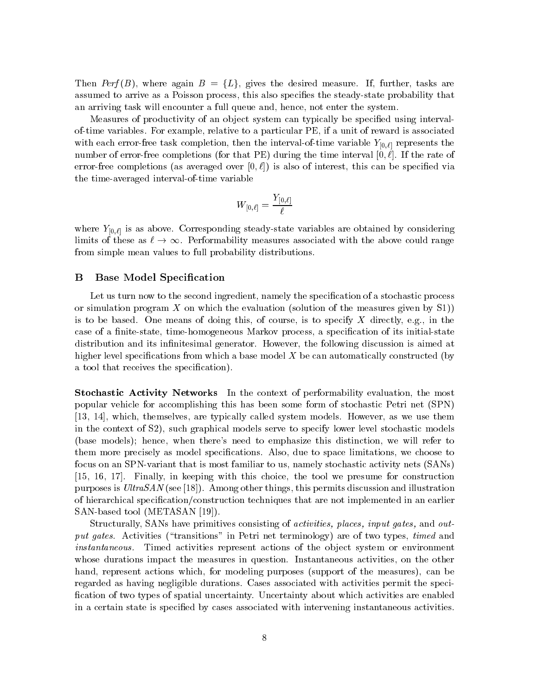Then Perf(B), where again  $B = \{L\}$ , gives the desired measure. If, further, tasks are assumed to arrive as a Poisson process, this also species the steady-state probability that an arriving task will encounter a full queue and, hence, not enter the system.

Measures of productivity of an object system can typically be specified using intervalof-time variables. For example, relative to a particular PE, if a unit of reward is associated with each error-free task completion, then the interval-of-time variable  $Y_{[0,\ell]}$  represents the number of error-free completions (for that PE) during the time interval  $[0, \ell]$ . If the rate of error-free completions (as averaged over  $[0, \ell]$ ) is also of interest, this can be specified via the time-averaged interval-of-time variable

$$
W_{[0,\ell]}=\frac{Y_{[0,\ell]}}{\ell}
$$

where  $Y_{[0,\ell]}$  is as above. Corresponding steady-state variables are obtained by considering limits of these as  $\ell \to \infty$ . Performability measures associated with the above could range from simple mean values to full probability distributions.

#### **Base Model Specification** B

Let us turn now to the second ingredient, namely the specification of a stochastic process or simulation program X on which the evaluation (solution of the measures given by  $S1$ )) is to be based. One means of doing this, of course, is to specify  $X$  directly, e.g., in the case of a finite-state, time-homogeneous Markov process, a specification of its initial-state distribution and its infinitesimal generator. However, the following discussion is aimed at higher level specifications from which a base model  $X$  be can automatically constructed (by a tool that receives the specification).

Stochastic Activity Networks In the context of performability evaluation, the most popular vehicle for accomplishing this has been some form of stochastic Petri net (SPN) [13, 14], which, themselves, are typically called system models. However, as we use them in the context of S2), such graphical models serve to specify lower level stochastic models (base models); hence, when there's need to emphasize this distinction, we will refer to them more precisely as model specifications. Also, due to space limitations, we choose to focus on an SPN-variant that is most familiar to us, namely stochastic activity nets (SANs) [15, 16, 17]. Finally, in keeping with this choice, the tool we presume for construction purposes is UltraSAN (see [18]). Among other things, this permits discussion and illustration of hierarchical specication/construction techniques that are not implemented in an earlier SAN-based tool (METASAN [19]).

Structurally, SANs have primitives consisting of *activities*, places, input gates, and output gates. Activities ("transitions" in Petri net terminology) are of two types, timed and instantaneous. Timed activities represent actions of the object system or environment whose durations impact the measures in question. Instantaneous activities, on the other hand, represent actions which, for modeling purposes (support of the measures), can be regarded as having negligible durations. Cases associated with activities permit the speci fication of two types of spatial uncertainty. Uncertainty about which activities are enabled in a certain state is specified by cases associated with intervening instantaneous activities.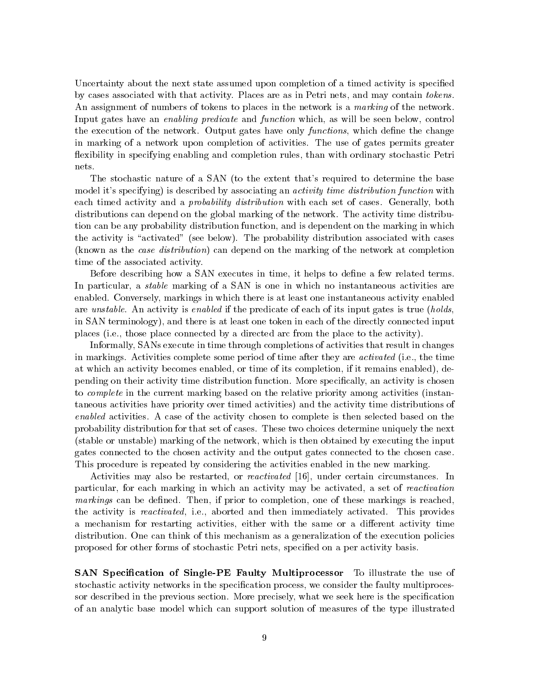Uncertainty about the next state assumed upon completion of a timed activity is specified by cases associated with that activity. Places are as in Petri nets, and may contain tokens. An assignment of numbers of tokens to places in the network is a marking of the network. Input gates have an enabling predicate and function which, as will be seen below, control the execution of the network. Output gates have only *functions*, which define the change in marking of a network upon completion of activities. The use of gates permits greater flexibility in specifying enabling and completion rules, than with ordinary stochastic Petri nets.

The stochastic nature of a SAN (to the extent that's required to determine the base model it's specifying) is described by associating an *activity time distribution function* with each timed activity and a *probability distribution* with each set of cases. Generally, both distributions can depend on the global marking of the network. The activity time distribution can be any probability distribution function, and is dependent on the marking in which the activity is "activated" (see below). The probability distribution associated with cases (known as the case distribution) can depend on the marking of the network at completion time of the associated activity.

Before describing how a SAN executes in time, it helps to define a few related terms. In particular, a *stable* marking of a SAN is one in which no instantaneous activities are enabled. Conversely, markings in which there is at least one instantaneous activity enabled are unstable. An activity is enabled if the predicate of each of its input gates is true (holds, in SAN terminology), and there is at least one token in each of the directly connected input places (i.e., those place connected by a directed arc from the place to the activity).

Informally, SANs execute in time through completions of activities that result in changes in markings. Activities complete some period of time after they are activated (i.e., the time at which an activity becomes enabled, or time of its completion, if it remains enabled), depending on their activity time distribution function. More specically, an activity is chosen to *complete* in the current marking based on the relative priority among activities (instantaneous activities have priority over timed activities) and the activity time distributions of enabled activities. A case of the activity chosen to complete is then selected based on the probability distribution for that set of cases. These two choices determine uniquely the next (stable or unstable) marking of the network, which is then obtained by executing the input gates connected to the chosen activity and the output gates connected to the chosen case. This procedure is repeated by considering the activities enabled in the new marking.

Activities may also be restarted, or reactivated [16], under certain circumstances. In particular, for each marking in which an activity may be activated, a set of reactivation  $markings$  can be defined. Then, if prior to completion, one of these markings is reached. the activity is *reactivated*, i.e., aborted and then immediately activated. This provides a mechanism for restarting activities, either with the same or a different activity time distribution. One can think of this mechanism as a generalization of the execution policies proposed for other forms of stochastic Petri nets, specied on a per activity basis.

**SAN Specification of Single-PE Faulty Multiprocessor** To illustrate the use of stochastic activity networks in the specification process, we consider the faulty multiprocessor described in the previous section. More precisely, what we seek here is the specification of an analytic base model which can support solution of measures of the type illustrated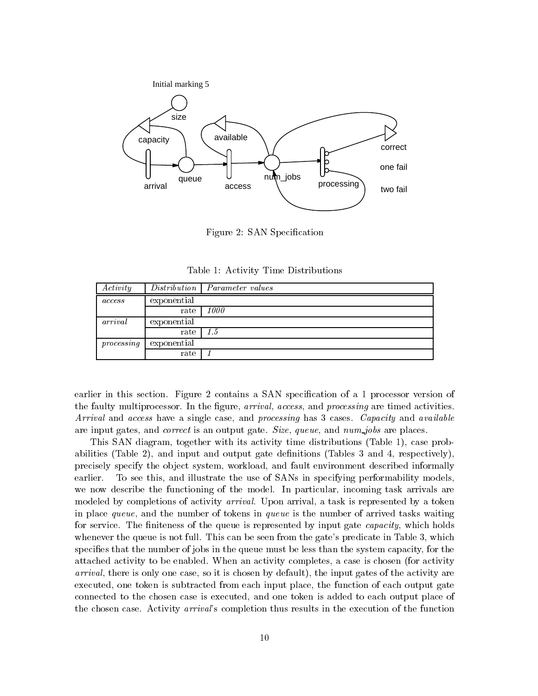

Figure 2: SAN Specification

|  |  |  | Table 1: Activity Time Distributions |  |
|--|--|--|--------------------------------------|--|
|--|--|--|--------------------------------------|--|

| Activity      | <i>Distribution</i> | <i>Parameter values</i> |
|---------------|---------------------|-------------------------|
| <i>access</i> | exponential         |                         |
|               | rate                | 1000                    |
| arrival       | exponential         |                         |
|               | rate                | 1.5                     |
| processing    | exponential         |                         |
|               | rate                |                         |

earlier in this section. Figure 2 contains a SAN specification of a 1 processor version of the faulty multiprocessor. In the figure, *arrival, access*, and *processing* are timed activities. Arrival and access have a single case, and processing has 3 cases. Capacity and available are input gates, and *correct* is an output gate. Size, queue, and  $num\_jobs$  are places.

This SAN diagram, together with its activity time distributions (Table 1), case probabilities (Table 2), and input and output gate denitions (Tables 3 and 4, respectively), precisely specify the object system, workload, and fault environment described informally earlier. To see this, and illustrate the use of SANs in specifying performability models, we now describe the functioning of the model. In particular, incoming task arrivals are modeled by completions of activity arrival. Upon arrival, a task is represented by a token in place queue, and the number of tokens in queue is the number of arrived tasks waiting for service. The finiteness of the queue is represented by input gate *capacity*, which holds whenever the queue is not full. This can be seen from the gate's predicate in Table 3, which specifies that the number of jobs in the queue must be less than the system capacity, for the attached activity to be enabled. When an activity completes, a case is chosen (for activity arrival, there is only one case, so it is chosen by default), the input gates of the activity are executed, one token is subtracted from each input place, the function of each output gate connected to the chosen case is executed, and one token is added to each output place of the chosen case. Activity arrival's completion thus results in the execution of the function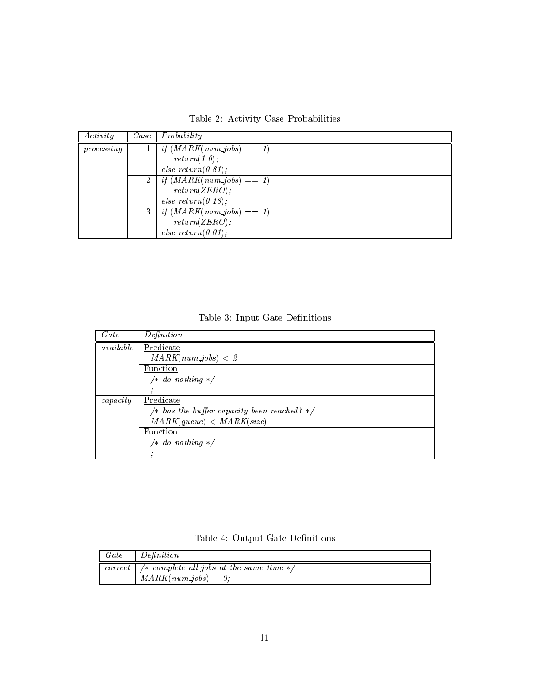|  | Table 2: Activity Case Probabilities |
|--|--------------------------------------|
|--|--------------------------------------|

| Activity   | Case        | Probability                 |
|------------|-------------|-----------------------------|
| processing |             | if $(MARK(num\_jobs) == 1)$ |
|            |             | return(1.0);                |
|            |             | else $return (0.81);$       |
|            | $2^{\circ}$ | if $(MARK(num\_jobs) == 1)$ |
|            |             | return(ZERO);               |
|            |             | else $return(0.18);$        |
|            | 3           | if $(MARK(num\_jobs) == 1)$ |
|            |             | return(ZERO);               |
|            |             | else $return(0.01);$        |

Table 3: Input Gate Definitions

| Gate      | Definition                                  |
|-----------|---------------------------------------------|
| available | Predicate                                   |
|           | $MARK(num\_jobs) < 2$                       |
|           | Function                                    |
|           | /* do nothing $*/$                          |
|           |                                             |
| capacity  | Predicate                                   |
|           | /* has the buffer capacity been reached? */ |
|           | MARK(queue) < MARK(size)                    |
|           | Function                                    |
|           | $/* do nothing */$                          |
|           |                                             |

Table 4: Output Gate Definitions

| Gate | Definition                                                                                                       |
|------|------------------------------------------------------------------------------------------------------------------|
|      | correct   $\frac{1}{\sqrt{2}}$ complete all jobs at the same time $\frac{1}{\sqrt{2}}$<br>$MARK(num\_jobs) = 0;$ |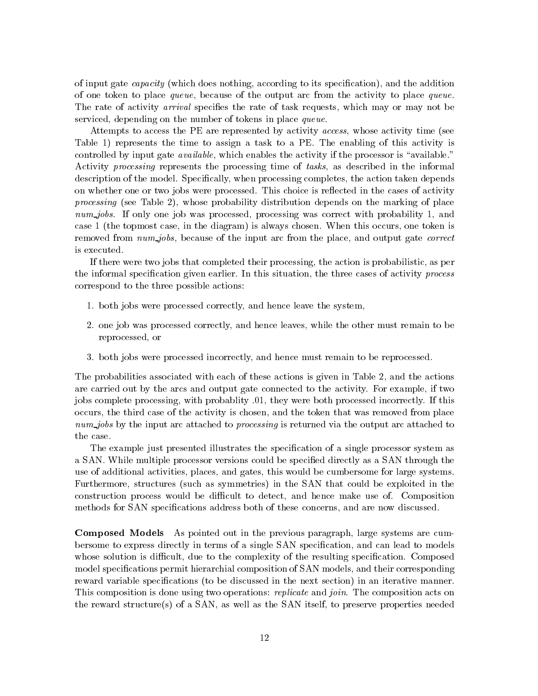of input gate capacity (which does nothing, according to its specication), and the addition of one token to place queue, because of the output arc from the activity to place queue. The rate of activity *arrival* specifies the rate of task requests, which may or may not be serviced, depending on the number of tokens in place queue.

Attempts to access the PE are represented by activity access, whose activity time (see Table 1) represents the time to assign a task to a PE. The enabling of this activity is controlled by input gate *available*, which enables the activity if the processor is "available." Activity processing represents the processing time of tasks, as described in the informal description of the model. Specifically, when processing completes, the action taken depends on whether one or two jobs were processed. This choice is reflected in the cases of activity processing (see Table 2), whose probability distribution depends on the marking of place  $num\_jobs$ . If only one job was processed, processing was correct with probability 1, and case 1 (the topmost case, in the diagram) is always chosen. When this occurs, one token is removed from *num-jobs*, because of the input arc from the place, and output gate *correct* is executed.

If there were two jobs that completed their processing, the action is probabilistic, as per the informal specification given earlier. In this situation, the three cases of activity process correspond to the three possible actions:

- 1. both jobs were processed correctly, and hence leave the system,
- 2. one job was processed correctly, and hence leaves, while the other must remain to be reprocessed, or
- 3. both jobs were processed incorrectly, and hence must remain to be reprocessed.

The probabilities associated with each of these actions is given in Table 2, and the actions are carried out by the arcs and output gate connected to the activity. For example, if two jobs complete processing, with probablity .01, they were both processed incorrectly. If this occurs, the third case of the activity is chosen, and the token that was removed from place num jobs by the input arc attached to *processing* is returned via the output arc attached to the case.

The example just presented illustrates the specification of a single processor system as a SAN. While multiple processor versions could be specied directly as a SAN through the use of additional activities, places, and gates, this would be cumbersome for large systems. Furthermore, structures (such as symmetries) in the SAN that could be exploited in the construction process would be difficult to detect, and hence make use of. Composition methods for SAN specifications address both of these concerns, and are now discussed.

Composed Models As pointed out in the previous paragraph, large systems are cumbersome to express directly in terms of a single SAN specication, and can lead to models whose solution is difficult, due to the complexity of the resulting specification. Composed model specifications permit hierarchial composition of SAN models, and their corresponding reward variable specifications (to be discussed in the next section) in an iterative manner. This composition is done using two operations: *replicate* and *join*. The composition acts on the reward structure(s) of a SAN, as well as the SAN itself, to preserve properties needed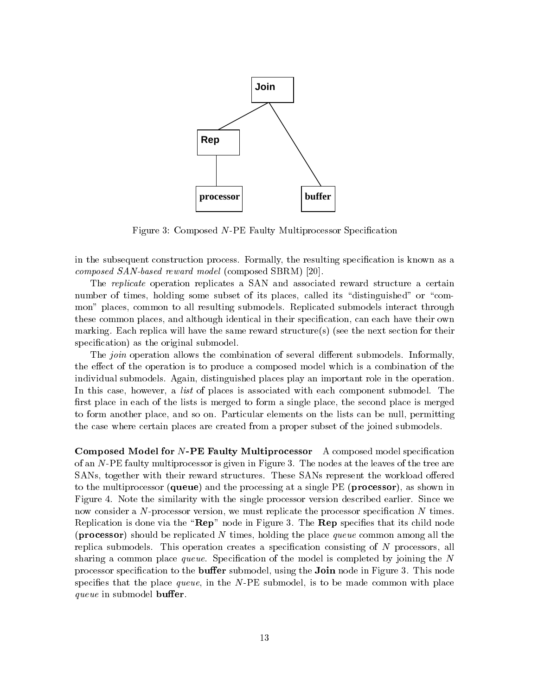

Figure 3: Composed N-PE Faulty Multiprocessor Specification

in the subsequent construction process. Formally, the resulting specication is known as a composed SAN-based reward model (composed SBRM) [20].

The replicate operation replicates a SAN and associated reward structure a certain number of times, holding some subset of its places, called its "distinguished" or "common" places, common to all resulting submodels. Replicated submodels interact through these common places, and although identical in their specication, can each have their own marking. Each replica will have the same reward structure(s) (see the next section for their specification) as the original submodel.

The *join* operation allows the combination of several different submodels. Informally, the effect of the operation is to produce a composed model which is a combination of the individual submodels. Again, distinguished places play an important role in the operation. In this case, however, a *list* of places is associated with each component submodel. The first place in each of the lists is merged to form a single place, the second place is merged to form another place, and so on. Particular elements on the lists can be null, permitting the case where certain places are created from a proper subset of the joined submodels.

Composed Model for N-PE Faulty Multiprocessor A composed model specification of an N-PE faulty multiprocessor is given in Figure 3. The nodes at the leaves of the tree are SANs, together with their reward structures. These SANs represent the workload offered to the multiprocessor (queue) and the processing at a single PE (processor), as shown in Figure 4.Note the similarity with the single processor version described earlier. Since we now consider a  $N$ -processor version, we must replicate the processor specification  $N$  times. Replication is done via the " $\mathbf{Rep}$ " node in Figure 3. The  $\mathbf{Rep}$  specifies that its child node (**processor**) should be replicated N times, holding the place queue common among all the replica submodels. This operation creates a specification consisting of  $N$  processors, all sharing a common place *queue*. Specification of the model is completed by joining the  $N$ processor specification to the **buffer** submodel, using the **Join** node in Figure 3. This node specifies that the place queue, in the  $N$ -PE submodel, is to be made common with place queue in submodel buffer.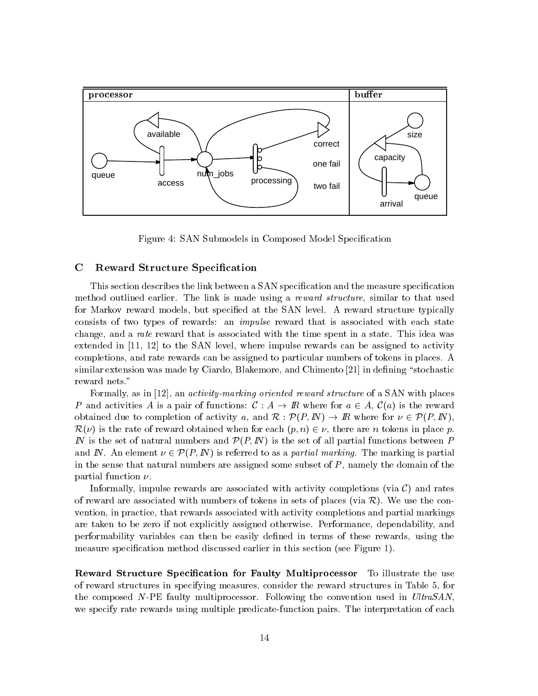

Figure 4: SAN Submodels in Composed Model Specification

#### $\mathbf C$ Reward Structure Specification

This section describes the link between a SAN specication and the measure specication method outlined earlier. The link is made using a reward structure, similar to that used for Markov reward models, but specified at the SAN level. A reward structure typically consists of two types of rewards: an impulse reward that is associated with each state change, and a rate reward that is associated with the time spent in a state. This idea was extended in [11, 12] to the SAN level, where impulse rewards can be assigned to activity completions, and rate rewards can be assigned to particular numbers of tokens in places. A similar extension was made by Ciardo, Blakemore, and Chimento  $[21]$  in defining "stochastic reward nets."

Formally, as in [12], an *activity-marking oriented reward structure* of a SAN with places P and activities A is a pair of functions:  $\mathcal{C}: A \to \mathbb{R}$  where for  $a \in A$ ,  $\mathcal{C}(a)$  is the reward obtained due to completion of activity a, and  $\mathcal{R} : \mathcal{P}(P, I\!N) \to I\!R$  where for  $\nu \in \mathcal{P}(P, I\!N)$ ,  $\mathcal{R}(\nu)$  is the rate of reward obtained when for each  $(p, n) \in \nu$ , there are n tokens in place p. IN is the set of natural numbers and  $\mathcal{P}(P, I\!N)$  is the set of all partial functions between P and IN. An element  $\nu \in \mathcal{P}(P, I\!N)$  is referred to as a *partial marking*. The marking is partial in the sense that natural numbers are assigned some subset of  $P$ , namely the domain of the partial function  $\nu$ .

Informally, impulse rewards are associated with activity completions (via  $\mathcal{C}$ ) and rates of reward are associated with numbers of tokens in sets of places (via  $\mathcal{R}$ ). We use the convention, in practice, that rewards associated with activity completions and partial markings are taken to be zero if not explicitly assigned otherwise. Performance, dependability, and performability variables can then be easily defined in terms of these rewards, using the measure specification method discussed earlier in this section (see Figure 1).

Reward Structure Specication for Faulty Multiprocessor To illustrate the use of reward structures in specifying measures, consider the reward structures in Table 5, for the composed  $N$ -PE faulty multiprocessor. Following the convention used in UltraSAN, we specify rate rewards using multiple predicate-function pairs. The interpretation of each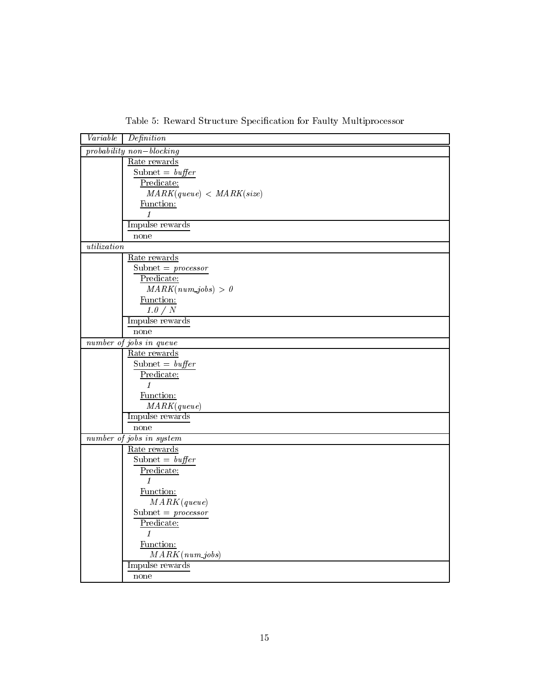| Variable    | Definition                     |
|-------------|--------------------------------|
|             | $probability\ non-blocking$    |
|             | Rate rewards                   |
|             | Subnet = $buffer$              |
|             | Predicate:                     |
|             | MARK(queue) < MARK(size)       |
|             | Function:                      |
|             | 1                              |
|             | Impulse rewards                |
|             | none                           |
| utilization |                                |
|             | Rate rewards                   |
|             | Subnet = $\textit{processor}$  |
|             | Predicate:                     |
|             | $MARK(num\_jobs) > 0$          |
|             | Function:                      |
|             | 1.0 / N                        |
|             | Impulse rewards                |
|             | none                           |
|             | number of jobs in queue        |
|             | Rate rewards                   |
|             | Subnet = $buffer$              |
|             | Predicate:                     |
|             | $\mathcal{I}$                  |
|             | Function:                      |
|             | MARK(queue)                    |
|             | Impulse rewards                |
|             | none                           |
|             | $number$ of jobs in system     |
|             | Rate rewards                   |
|             | Subnet = $buffer$              |
|             | $\frac{\text{Predicter}}{1}$   |
|             |                                |
|             | Function:<br>MARK(queue)       |
|             |                                |
|             | Subnet = $\text{processor}$    |
|             | Predicate:<br>$\mathbf{1}$     |
|             |                                |
|             | Function:<br>$MARK(num\_jobs)$ |
|             | Impulse rewards                |
|             | none                           |
|             |                                |

Table 5: Reward Structure Specification for Faulty Multiprocessor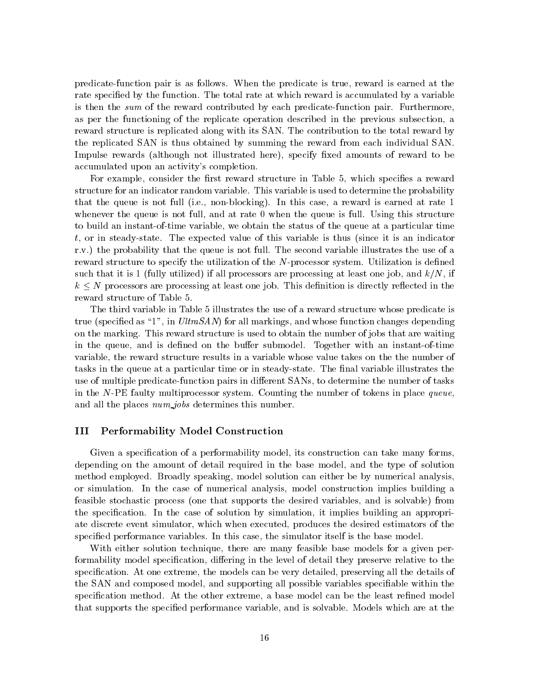predicate-function pair is as follows. When the predicate is true, reward is earned atthe rate specified by the function. The total rate at which reward is accumulated by a variable is then the sum of the reward contributed by each predicate-function pair. Furthermore, as per the functioning of the replicate operation described in the previous subsection, a reward structure is replicated along with its SAN. The contribution to the total reward by the replicated SAN is thus obtained by summing the reward from each individual SAN. Impulse rewards (although not illustrated here), specify fixed amounts of reward to be accumulated upon an activity's completion.

For example, consider the first reward structure in Table 5, which specifies a reward structure for an indicator random variable. This variable is used to determine the probability that the queue is not full (i.e., non-blocking). In this case, a reward is earned at rate 1 whenever the queue is not full, and at rate 0 when the queue is full. Using this structure to build an instant-of-time variable, we obtain the status of the queue at a particular time t, or in steady-state. The expected value of this variable is thus (since it is an indicator r.v.) the probability that the queue is not full. The second variable illustrates the use of a reward structure to specify the utilization of the N-processor system. Utilization is defined such that it is 1 (fully utilized) if all processors are processing at least one job, and  $k/N$ , if  $k \leq N$  processors are processing at least one job. This definition is directly reflected in the reward structure of Table 5.

The third variable in Table 5 illustrates the use of a reward structure whose predicate is true (specified as "1", in UltraSAN) for all markings, and whose function changes depending on the marking. This reward structure is used to obtain the number of jobs that are waiting in the queue, and is defined on the buffer submodel. Together with an instant-of-time variable, the reward structure results in a variable whose value takes on the the number of tasks in the queue at a particular time or in steady-state. The final variable illustrates the use of multiple predicate-function pairs in different SANs, to determine the number of tasks in the N-PE faulty multiprocessor system. Counting the number of tokens in place queue, and all the places  $num\_jobs$  determines this number.

#### III Performability Model Construction

Given a specification of a performability model, its construction can take many forms. depending on the amount of detail required in the base model, and the type of solution method employed. Broadly speaking, model solution can either be by numerical analysis, or simulation. In the case of numerical analysis, model construction implies building a feasible stochastic process (one that supports the desired variables, and is solvable) from the specication. In the case of solution by simulation, it implies building an appropriate discrete event simulator, which when executed, produces the desired estimators of the specied performance variables. In this case, the simulator itself is the base model.

With either solution technique, there are many feasible base models for a given performability model specification, differing in the level of detail they preserve relative to the specification. At one extreme, the models can be very detailed, preserving all the details of the SAN and composed model, and supporting all possible variables speciable within the specification method. At the other extreme, a base model can be the least refined model that supports the specied performance variable, and is solvable. Models which are at the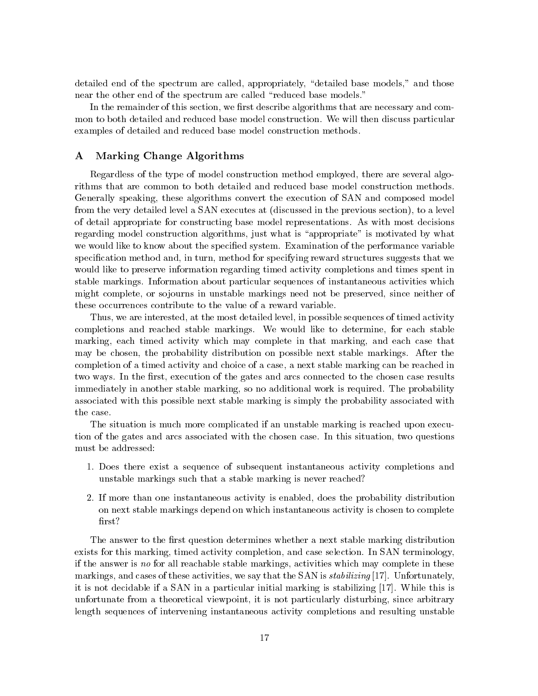detailed end of the spectrum are called, appropriately, "detailed base models," and those near the other end of the spectrum are called "reduced base models."

In the remainder of this section, we first describe algorithms that are necessary and common to both detailed and reduced base model construction. We will then discuss particular examples of detailed and reduced base model construction methods.

## A Marking Change Algorithms

Regardless of the type of model construction method employed, there are several algorithms that are common to both detailed and reduced base model construction methods. Generally speaking, these algorithms convert the execution of SAN and composed model from the very detailed level a SAN executes at (discussed in the previous section), to a level of detail appropriate for constructing base model representations. As with most decisions regarding model construction algorithms, just what is "appropriate" is motivated by what we would like to know about the specified system. Examination of the performance variable specification method and, in turn, method for specifying reward structures suggests that we would like to preserve information regarding timed activity completions and times spent in stable markings. Information about particular sequences of instantaneous activities which might complete, or so journs in unstable markings need not be preserved, since neither of these occurrences contribute to the value of a reward variable.

Thus, we are interested, at the most detailed level, in possible sequences of timed activity completions and reached stable markings. We would like to determine, for each stable marking, each timed activity which may complete in that marking, and each case that may be chosen, the probability distribution on possible next stable markings. After the completion of a timed activity and choice of a case, a next stable marking can be reached in two ways. In the first, execution of the gates and arcs connected to the chosen case results immediately in another stable marking, so no additional work is required. The probability associated with this possible next stable marking is simply the probability associated with the case.

The situation is much more complicated if an unstable marking is reached upon execution of the gates and arcs associated with the chosen case. In this situation, two questions must be addressed:

- 1. Does there exist a sequence of subsequent instantaneous activity completions and unstable markings such that a stable marking is never reached?
- 2. If more than one instantaneous activity is enabled, does the probability distribution on next stable markings depend on which instantaneous activity is chosen to complete first?

The answer to the first question determines whether a next stable marking distribution exists for this marking, timed activity completion, and case selection. In SAN terminology, if the answer is no for all reachable stable markings, activities which may complete in these markings, and cases of these activities, we say that the SAN is *stabilizing* [17]. Unfortunately, it is not decidable if a SAN in a particular initial marking is stabilizing [17]. While this is unfortunate from a theoretical viewpoint, it is not particularly disturbing, since arbitrary length sequences of intervening instantaneous activity completions and resulting unstable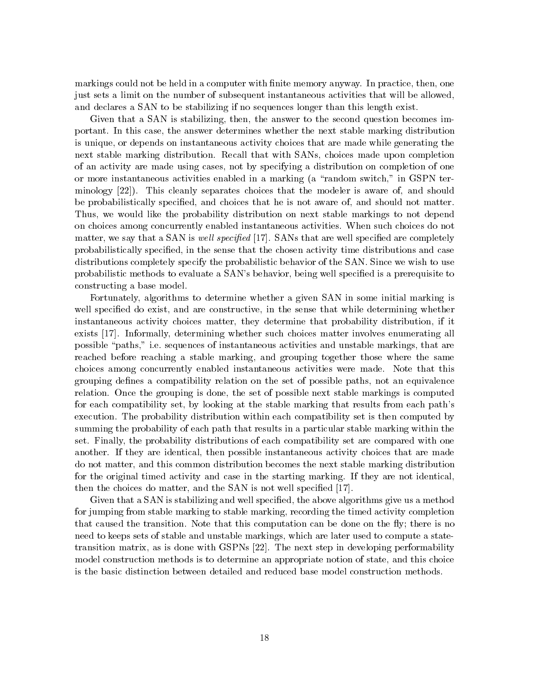markings could not be held in a computer with finite memory anyway. In practice, then, one just sets a limit on the number of subsequent instantaneous activities that will be allowed, and declares a SAN to be stabilizing if no sequences longer than this length exist.

Given that a SAN is stabilizing, then, the answer to the second question becomes important. In this case, the answer determines whether the next stable marking distribution is unique, or depends on instantaneous activity choices that are made while generating the next stable marking distribution. Recall that with SANs, choices made upon completion of an activity are made using cases, not by specifying a distribution on completion of one or more instantaneous activities enabled in a marking (a "random switch," in GSPN terminology [22]). This cleanly separates choices that the modeler is aware of, and should be probabilistically specified, and choices that he is not aware of, and should not matter. Thus, we would like the probability distribution on next stable markings to not depend on choices among concurrently enabled instantaneous activities. When such choices do not matter, we say that a SAN is *well specified* [17]. SANs that are well specified are completely probabilistically specied, in the sense that the chosen activity time distributions and case distributions completely specify the probabilistic behavior of the SAN. Since we wish to use probabilistic methods to evaluate a SAN's behavior, being well specified is a prerequisite to constructing a base model.

Fortunately, algorithms to determine whether a given SAN in some initial marking is well specified do exist, and are constructive, in the sense that while determining whether instantaneous activity choices matter, they determine that probability distribution, if it exists [17]. Informally, determining whether such choices matter involves enumerating all possible \paths," i.e. sequences of instantaneous activities and unstable markings, that are reached before reaching a stable marking, and grouping together those where the same choices among concurrently enabled instantaneous activities were made. Note that this grouping denes a compatibility relation on the set of possible paths, not an equivalence relation. Once the grouping is done, the set of possible next stable markings is computed for each compatibility set, by looking at the stable marking that results from each path's execution. The probability distribution within each compatibility set is then computed by summing the probability of each path that results in a particular stable marking within the set. Finally, the probability distributions of each compatibility set are compared with one another. If they are identical, then possible instantaneous activity choices that are made do not matter, and this common distribution becomes the next stable marking distribution for the original timed activity and case in the starting marking. If they are not identical, then the choices do matter, and the SAN is not well specied [17].

Given that a SAN is stabilizing and well specied, the above algorithms give us a method for jumping from stable marking to stable marking, recording the timed activity completion that caused the transition. Note that this computation can be done on the fly; there is no need to keeps sets of stable and unstable markings, which are later used to compute a statetransition matrix, as is done with GSPNs [22]. The next step in developing performability model construction methods is to determine an appropriate notion of state, and this choice is the basic distinction between detailed and reduced base model construction methods.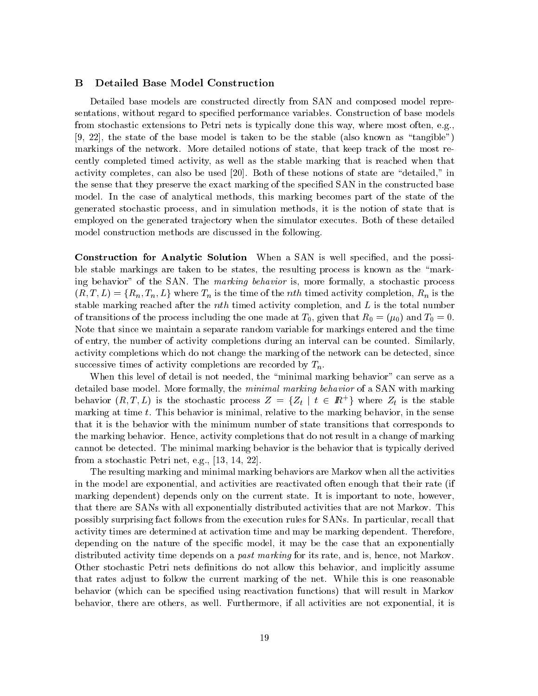### B Detailed Base Model Construction

Detailed base models are constructed directly from SAN and composed model representations, without regard to specied performance variables. Construction of base models from stochastic extensions to Petri nets is typically done this way, where most often, e.g.,  $[9, 22]$ , the state of the base model is taken to be the stable (also known as "tangible") markings of the network. More detailed notions of state, that keep track of the most recently completed timed activity, as well as the stable marking that is reached when that activity completes, can also be used  $[20]$ . Both of these notions of state are "detailed," in the sense that they preserve the exact marking of the specied SAN in the constructed base model. In the case of analytical methods, this marking becomes part of the state of the generated stochastic process, and in simulation methods, it is the notion of state that is employed on the generated trajectory when the simulator executes. Both of these detailed model construction methods are discussed in the following.

Construction for Analytic Solution When a SAN is well specified, and the possible stable markings are taken to be states, the resulting process is known as the "marking behavior" of the SAN. The *marking behavior* is, more formally, a stochastic process  $(R, T, L) = \{R_n, T_n, L\}$  where  $T_n$  is the time of the *nth* timed activity completion,  $R_n$  is the stable marking reached after the  $nth$  timed activity completion, and  $L$  is the total number of transitions of the process including the one made at  $T_0$ , given that  $R_0 = (\mu_0)$  and  $T_0 = 0$ . Note that since we maintain a separate random variable for markings entered and the time of entry, the number of activity completions during an interval can be counted. Similarly, activity completions which do not change the marking of the network can be detected, since successive times of activity completions are recorded by  $T_n$ .

When this level of detail is not needed, the "minimal marking behavior" can serve as a detailed base model. More formally, the *minimal marking behavior* of a SAN with marking behavior  $(R, T, L)$  is the stochastic process  $Z = \{Z_t | t \in \mathbb{R}^+\}$  where  $Z_t$  is the stable marking at time t. This behavior is minimal, relative to the marking behavior, in the sense that it is the behavior with the minimum number of state transitions that corresponds to the marking behavior. Hence, activity completions that do not result in a change of marking cannot be detected. The minimal marking behavior is the behavior that is typically derived from a stochastic Petri net, e.g., [13, 14, 22].

The resulting marking and minimal marking behaviors are Markov when all the activities in the model are exponential, and activities are reactivated often enough that their rate (if marking dependent) depends only on the current state. It is important to note, however, that there are SANs with all exponentially distributed activities that are not Markov. This possibly surprising fact follows from the execution rules for SANs. In particular, recall that activity times are determined at activation time and may be marking dependent. Therefore, depending on the nature of the specific model, it may be the case that an exponentially distributed activity time depends on a *past marking* for its rate, and is, hence, not Markov. Other stochastic Petri nets definitions do not allow this behavior, and implicitly assume that rates adjust to follow the current marking of the net. While this is one reasonable behavior (which can be specified using reactivation functions) that will result in Markov behavior, there are others, as well. Furthermore, if all activities are not exponential, it is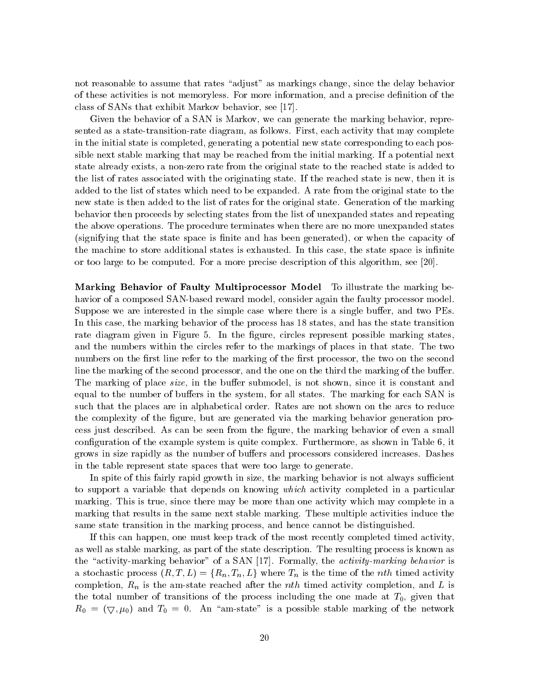not reasonable to assume that rates "adjust" as markings change, since the delay behavior of these activities is not memoryless. For more information, and a precise denition of the class of SANs that exhibit Markov behavior, see [17].

Given the behavior of a SAN is Markov, we can generate the marking behavior, represented as a state-transition-rate diagram, as follows. First, each activity that may complete in the initial state is completed, generating a potential new state corresponding to each possible next stable marking that may be reached from the initial marking. If a potential next state already exists, a non-zero rate from the original state to the reached state is added to the list of rates associated with the originating state. If the reached state is new, then it is added to the list of states which need to be expanded. A rate from the original state to the new state is then added to the list of rates for the original state. Generation of the marking behavior then proceeds by selecting states from the list of unexpanded states and repeating the above operations. The procedure terminates when there are no more unexpanded states (signifying that the state space is finite and has been generated), or when the capacity of the machine to store additional states is exhausted. In this case, the state space is infinite or too large to be computed. For a more precise description of this algorithm, see [20].

Marking Behavior of Faulty Multiprocessor Model To illustrate the marking behavior of a composed SAN-based reward model, consider again the faulty processor model. Suppose we are interested in the simple case where there is a single buffer, and two PEs. In this case, the marking behavior of the process has 18 states, and has the state transition rate diagram given in Figure 5. In the figure, circles represent possible marking states. and the numbers within the circles refer to the markings of places in that state. The two numbers on the first line refer to the marking of the first processor, the two on the second line the marking of the second processor, and the one on the third the marking of the buffer. The marking of place *size*, in the buffer submodel, is not shown, since it is constant and equal to the number of buffers in the system, for all states. The marking for each SAN is such that the places are in alphabetical order. Rates are not shown on the arcs to reduce the complexity of the figure, but are generated via the marking behavior generation process just described. As can be seen from the gure, the marking behavior of even a small configuration of the example system is quite complex. Furthermore, as shown in Table 6, it grows in size rapidly as the number of buffers and processors considered increases. Dashes in the table represent state spaces that were too large to generate.

In spite of this fairly rapid growth in size, the marking behavior is not always sufficient to support a variable that depends on knowing which activity completed in a particular marking. This is true, since there may be more than one activity which may complete in a marking that results in the same next stable marking. These multiple activities induce the same state transition in the marking process, and hence cannot be distinguished.

If this can happen, one must keep track of the most recently completed timed activity, as well as stable marking, as part of the state description. The resulting process is known as the "activity-marking behavior" of a SAN [17]. Formally, the *activity-marking behavior* is a stochastic process  $(R, T, L) = \{R_n, T_n, L\}$  where  $T_n$  is the time of the *nth* timed activity completion,  $R_n$  is the am-state reached after the *nth* timed activity completion, and L is the total number of transitions of the process including the one made at  $T_0$ , given that  $R_0 = (\nabla, \mu_0)$  and  $T_0 = 0$ . An "am-state" is a possible stable marking of the network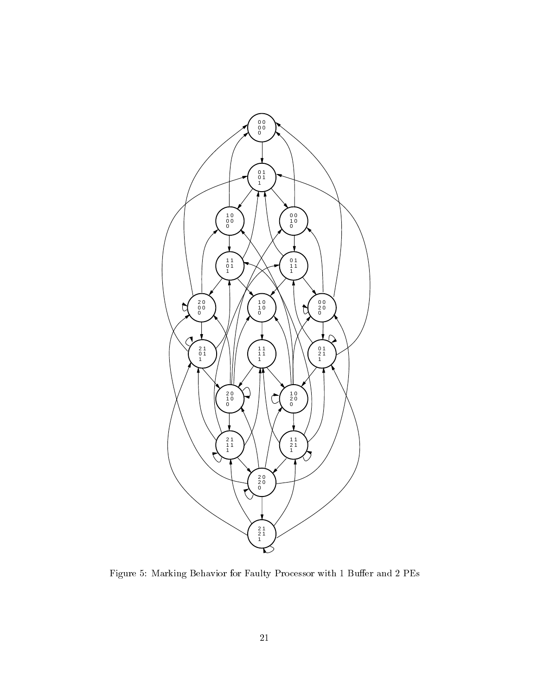

Figure 5: Marking Behavior for Faulty Processor with 1 Buffer and 2  $\rm{PEs}$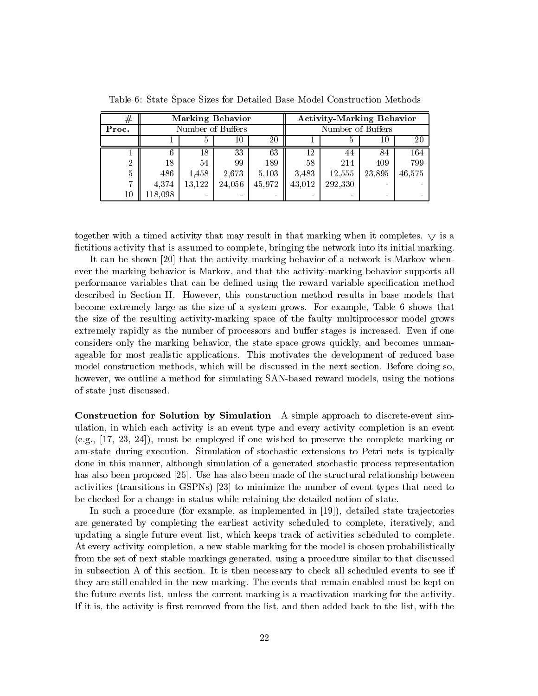| $^{\#}$ | <b>Marking Behavior</b> |        |        |        | <b>Activity-Marking Behavior</b> |         |        |        |
|---------|-------------------------|--------|--------|--------|----------------------------------|---------|--------|--------|
| Proc.   | Number of Buffers       |        |        |        | Number of Buffers                |         |        |        |
|         |                         | Ð      | 10.    | 20     |                                  |         | 10     | 20     |
|         |                         | 18     | 33     | 63     | 12                               | 44      | 84     | 164    |
| 2       | 18                      | 54     | 99     | 189    | 58                               | 214     | 409    | 799    |
| 5       | 486                     | 1,458  | 2,673  | 5,103  | 3.483                            | 12,555  | 23,895 | 46,575 |
| 17      | 4,374                   | 13,122 | 24,056 | 45,972 | 43,012                           | 292,330 |        |        |
| 10      | 118,098                 |        |        |        |                                  |         |        |        |

Table 6: State Space Sizes for Detailed Base Model Construction Methods

together with a timed activity that may result in that marking when it completes.  $\bigtriangledown$  is a fictitious activity that is assumed to complete, bringing the network into its initial marking.

It can be shown [20] that the activity-marking behavior of a network is Markov whenever the marking behavior is Markov, and that the activity-marking behavior supports all performance variables that can be defined using the reward variable specification method described in Section II. However, this construction method results in base models that become extremely large as the size of a system grows. For example, Table 6 shows that the size of the resulting activity-marking space of the faulty multiprocessor model grows extremely rapidly as the number of processors and buffer stages is increased. Even if one considers only the marking behavior, the state space grows quickly, and becomes unmanageable for most realistic applications. This motivates the development of reduced base model construction methods, which will be discussed in the next section. Before doing so, however, we outline a method for simulating SAN-based reward models, using the notions of state just discussed.

Construction for Solution by Simulation A simple approach to discrete-event simulation, in which each activity is an event type and every activity completion is an event (e.g., [17, 23, 24]), must be employed if one wished to preserve the complete marking or am-state during execution. Simulation of stochastic extensions to Petri nets is typically done in this manner, although simulation of a generated stochastic process representation has also been proposed [25]. Use has also been made of the structural relationship between activities (transitions in GSPNs) [23] to minimize the number of event types that need to be checked for a change in status while retaining the detailed notion of state.

In such a procedure (for example, as implemented in  $[19]$ ), detailed state trajectories are generated by completing the earliest activity scheduled to complete, iteratively, and updating a single future event list, which keeps track of activities scheduled to complete. At every activity completion, a new stable marking for the model is chosen probabilistically from the set of next stable markings generated, using a procedure similar to that discussed in subsection A of this section. It is then necessary to check all scheduled events to see if they are still enabled in the new marking. The events that remain enabled must be kept on the future events list, unless the current marking is a reactivation marking for the activity. If it is, the activity is first removed from the list, and then added back to the list, with the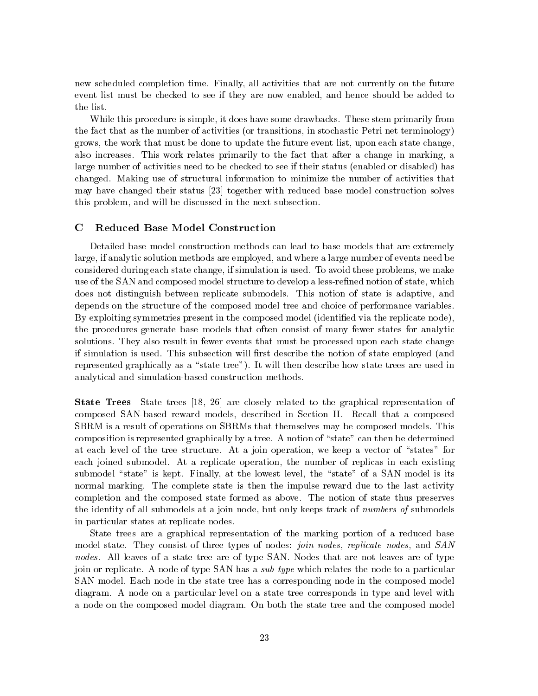new scheduled completion time. Finally, all activities that are not currently on the future event list must be checked to see ifthey are now enabled, and hence should be added to the list.

While this procedure is simple, it does have some drawbacks. These stem primarily from the fact that as the number of activities (or transitions, in stochastic Petri net terminology) grows, the work that must be done to update the future event list, upon each state change, also increases. This work relates primarily to the fact that after a change in marking, a large number of activities need to be checked to see if their status (enabled or disabled) has changed. Making use of structural information to minimize the number of activities that may have changed their status [23] together with reduced base model construction solves this problem, and will be discussed in the next subsection.

### C Reduced Base Model Construction

Detailed base model construction methods can lead to base models that are extremely large, if analytic solution methods are employed, and where a large number of events need be considered during each state change, if simulation is used. To avoid these problems, we make use of the SAN and composed model structure to develop a less-refined notion of state, which does not distinguish between replicate submodels. This notion of state is adaptive, and depends on the structure of the composed model tree and choice of performance variables. By exploiting symmetries present in the composed model (identified via the replicate node). the procedures generate base models that often consist of many fewer states for analytic solutions. They also result in fewer events that must be processed upon each state change if simulation is used. This subsection will first describe the notion of state employed (and represented graphically as a "state tree"). It will then describe how state trees are used in analytical and simulation-based construction methods.

State Trees State trees [18, 26] are closely related to the graphical representation of composed SAN-based reward models, described in Section II. Recall that a composed SBRM is a result of operations on SBRMs that themselves may be composed models. This composition is represented graphically by a tree. A notion of "state" can then be determined at each level of the tree structure. At a join operation, we keep a vector of "states" for each joined submodel. At a replicate operation, the number of replicas in each existing submodel "state" is kept. Finally, at the lowest level, the "state" of a SAN model is its normal marking. The complete state is then the impulse reward due to the last activity completion and the composed state formed as above. The notion of state thus preserves the identity of all submodels at a join node, but only keeps track of numbers of submodels in particular states at replicate nodes.

State trees are a graphical representation of the marking portion of a reduced base model state. They consist of three types of nodes: join nodes, replicate nodes, and SAN nodes. All leaves of a state tree are of type SAN. Nodes that are not leaves are of type join or replicate. A node of type SAN has a *sub-type* which relates the node to a particular SAN model. Each node in the state tree has a corresponding node in the composed model diagram. A node on a particular level on a state tree corresponds in type and level with a node on the composed model diagram. On both the state tree and the composed model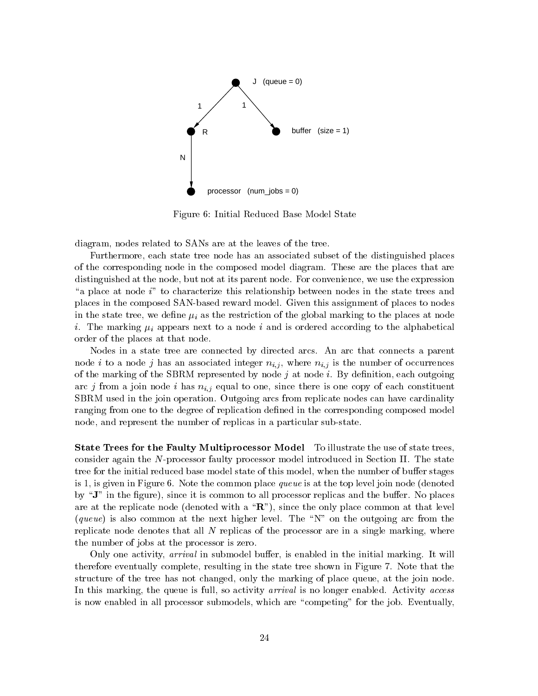

Figure 6: Initial Reduced Base Model State

diagram, nodes related to SANs are at the leaves of the tree.

Furthermore, each state tree node has an associated subset of the distinguished places of the corresponding node in the composed model diagram. These are the places that are distinguished at the node, but not at its parent node. For convenience, we use the expression "a place at node  $i$ " to characterize this relationship between nodes in the state trees and places in the composed SAN-based reward model. Given this assignment of places to nodes in the state tree, we define  $\mu_i$  as the restriction of the global marking to the places at node i. The marking  $\mu_i$  appears next to a node i and is ordered according to the alphabetical order of the places at that node.

Nodes in a state tree are connected by directed arcs. An arc that connects a parent node i to a node j has an associated integer  $n_{i,j}$ , where  $n_{i,j}$  is the number of occurrences of the marking of the SBRM represented by node  $j$  at node  $i$ . By definition, each outgoing arc j from a join node i has  $n_{i,j}$  equal to one, since there is one copy of each constituent SBRM used in the join operation. Outgoing arcs from replicate nodes can have cardinality ranging from one to the degree of replication defined in the corresponding composed model node, and represent the number of replicas in a particular sub-state.

State Trees for the Faulty Multiprocessor Model To illustrate the use of state trees, consider again the N-processor faulty processor model introduced in Section II. The state tree for the initial reduced base model state of this model, when the number of buffer stages is 1, is given in Figure 6. Note the common place queue is at the top level join node (denoted by " $J$ " in the figure), since it is common to all processor replicas and the buffer. No places are at the replicate node (denoted with a  $\mathbf{R}$ "), since the only place common at that level (queue) is also common at the next higher level. The "N" on the outgoing arc from the replicate node denotes that all  $N$  replicas of the processor are in a single marking, where the number of jobs at the processor is zero.

Only one activity, *arrival* in submodel buffer, is enabled in the initial marking. It will therefore eventually complete, resulting in the state tree shown in Figure 7. Note that the structure of the tree has not changed, only the marking of place queue, at the join node. In this marking, the queue is full, so activity *arrival* is no longer enabled. Activity *access* is now enabled in all processor submodels, which are "competing" for the job. Eventually,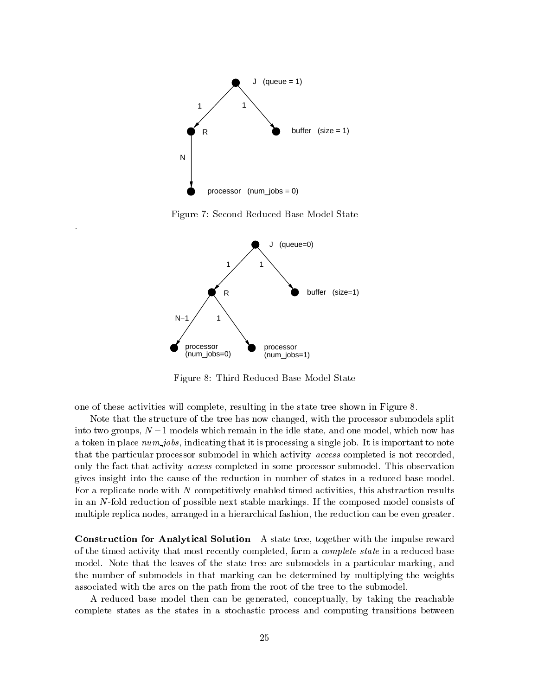

Figure 7: Second Reduced Base Model State



Figure 8: Third Reduced Base Model State

one of these activities will complete, resulting in the state tree shown in Figure 8.

Note that the structure of the tree has now changed, with the processor submodels split into two groups,  $N-1$  models which remain in the idle state, and one model, which now has a token in place  $num\_jobs$ , indicating that it is processing a single job. It is important to note that the particular processor submodel in which activity access completed is not recorded, only the fact that activity access completed in some processor submodel. This observation gives insight into the cause of the reduction in number of states in a reduced base model. For a replicate node with N competitively enabled timed activities, this abstraction results in an N-fold reduction of possible next stable markings. If the composed model consists of multiple replica nodes, arranged in a hierarchical fashion, the reduction can be even greater.

Construction for Analytical Solution A state tree, together with the impulse reward of the timed activity that most recently completed, form a complete state in a reduced base model. Note that the leaves of the state tree are submodels in a particular marking, and the number of submodels in that marking can be determined by multiplying the weights associated with the arcs on the path from the root of the tree to the submodel.

A reduced base model then can be generated, conceptually, by taking the reachable complete states as the states in a stochastic process and computing transitions between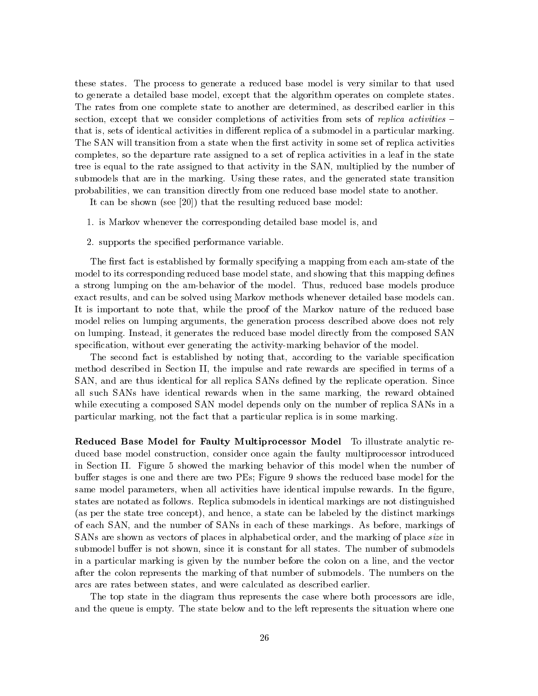these states. The process to generate a reduced base model is very similar to that used to generate a detailed base model, except that the algorithm operates on complete states. The rates from one complete state to another are determined, as described earlier in this section, except that we consider completions of activities from sets of replica activities  $$ that is, sets of identical activities in different replica of a submodel in a particular marking. The SAN will transition from a state when the first activity in some set of replica activities completes, so the departure rate assigned to a set of replica activities in a leaf in the state tree is equal to the rate assigned to that activity in the SAN, multiplied by the number of submodels that are in the marking. Using these rates, and the generated state transition probabilities, we can transition directly from one reduced base model state to another.

It can be shown (see [20]) that the resulting reduced base model:

- 1. is Markov whenever the corresponding detailed base model is, and
- 2. supports the specied performance variable.

The first fact is established by formally specifying a mapping from each am-state of the model to its corresponding reduced base model state, and showing that this mapping defines a strong lumping on the am-behavior of the model. Thus, reduced base models produce exact results, and can be solved using Markov methods whenever detailed base models can. It is important to note that, while the proof of the Markov nature of the reduced base model relies on lumping arguments, the generation process described above does not rely on lumping. Instead, it generates the reduced base model directly from the composed SAN specification, without ever generating the activity-marking behavior of the model.

The second fact is established by noting that, according to the variable specification method described in Section II, the impulse and rate rewards are specified in terms of a SAN, and are thus identical for all replica SANs defined by the replicate operation. Since all such SANs have identical rewards when in the same marking, the reward obtained while executing a composed SAN model depends only on the number of replica SANs in a particular marking, not the fact that a particular replica is in some marking.

Reduced Base Model for Faulty Multiprocessor Model To illustrate analytic reduced base model construction, consider once again the faulty multiprocessor introduced in Section II. Figure 5 showed the marking behavior of this model when the number of buffer stages is one and there are two PEs; Figure 9 shows the reduced base model for the same model parameters, when all activities have identical impulse rewards. In the figure, states are notated as follows. Replica submodels in identical markings are not distinguished (as per the state tree concept), and hence, a state can be labeled by the distinct markings of each SAN, and the number of SANs in each of these markings. As before, markings of SANs are shown as vectors of places in alphabetical order, and the marking of place size in submodel buffer is not shown, since it is constant for all states. The number of submodels in a particular marking is given by the number before the colon on a line, and the vector after the colon represents the marking of that number of submodels. The numbers on the arcs are rates between states, and were calculated as described earlier.

The top state in the diagram thus represents the case where both processors are idle, and the queue is empty. The state below and to the left represents the situation where one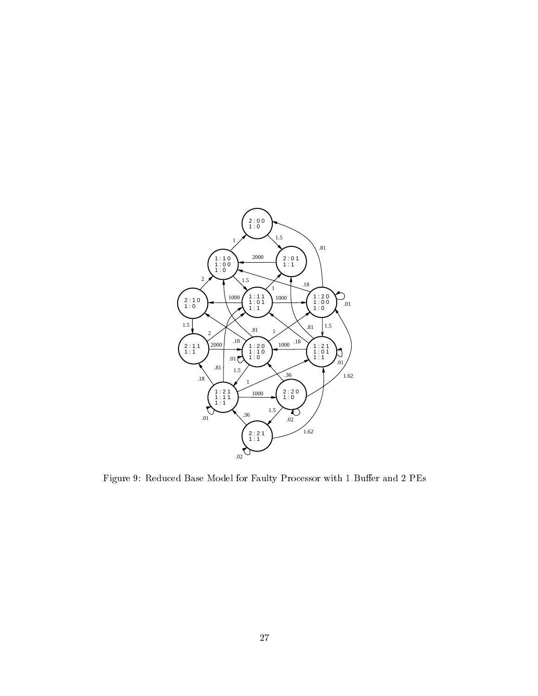

Figure 9: Reduced Base Model for Faulty Processor with 1 Buffer and 2  $\rm{PEs}$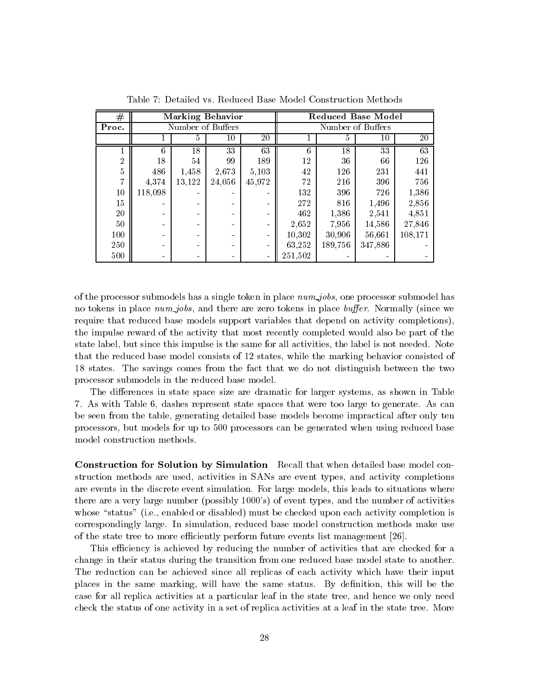| #     | <b>Marking Behavior</b> |        |        |                   | <b>Reduced Base Model</b> |         |         |         |
|-------|-------------------------|--------|--------|-------------------|---------------------------|---------|---------|---------|
| Proc. | Number of Buffers       |        |        | Number of Buffers |                           |         |         |         |
|       |                         | 5      | 10     | 20                |                           | 5       | 10      | 20      |
|       | 6                       | 18     | 33     | 63                | 6                         | 18      | 33      | 63      |
| 2     | 18                      | 54     | 99     | 189               | 12                        | 36      | 66      | 126     |
| 5     | 486                     | 1,458  | 2,673  | 5,103             | 42                        | 126     | 231     | 441     |
| 17    | 4,374                   | 13,122 | 24,056 | 45,972            | 72                        | 216     | 396     | 756     |
| 10    | 118,098                 |        |        |                   | 132                       | 396     | 726     | 1,386   |
| 15    |                         |        |        |                   | 272                       | 816     | 1,496   | 2,856   |
| 20    |                         |        |        |                   | 462                       | 1,386   | 2,541   | 4,851   |
| 50    |                         |        |        |                   | 2,652                     | 7,956   | 14,586  | 27,846  |
| 100   |                         |        |        |                   | 10,302                    | 30,906  | 56,661  | 108,171 |
| 250   |                         |        |        | $\blacksquare$    | 63,252                    | 189,756 | 347,886 |         |
| 500   |                         |        |        |                   | 251,502                   |         |         |         |

Table 7: Detailed vs. Reduced Base Model Construction Methods

of the processor submodels has a single token in place  $num\_jobs$ , one processor submodel has no tokens in place num jobs, and there are zero tokens in place buffer. Normally (since we require that reduced base models support variables that depend on activity completions), the impulse reward of the activity that most recently completed would also be part of the state label, but since this impulse is the same for all activities, the label is not needed. Note that the reduced base model consists of 12 states, while the marking behavior consisted of 18 states. The savings comes from the fact that we do not distinguish between the two processor submodels in the reduced base model.

The differences in state space size are dramatic for larger systems, as shown in Table 7. As with Table 6, dashes represent state spaces that were too large to generate. As can be seen from the table, generating detailed base models become impractical after only ten processors, but models for up to 500 processors can be generated when using reduced base model construction methods.

Construction for Solution by Simulation Recall that when detailed base model construction methods are used, activities in SANs are event types, and activity completions are events in the discrete event simulation. For large models, this leads to situations where there are a very large number (possibly 1000's) of event types, and the number of activities whose "status" (i.e., enabled or disabled) must be checked upon each activity completion is correspondingly large. In simulation, reduced base model construction methods make use of the state tree to more efficiently perform future events list management [26].

This efficiency is achieved by reducing the number of activities that are checked for a change in their status during the transition from one reduced base model state to another. The reduction can be achieved since all replicas of each activity which have their input places in the same marking, will have the same status. By definition, this will be the case for all replica activities at a particular leaf in the state tree, and hence we only need check the status of one activity in a set of replica activities at a leaf in the state tree. More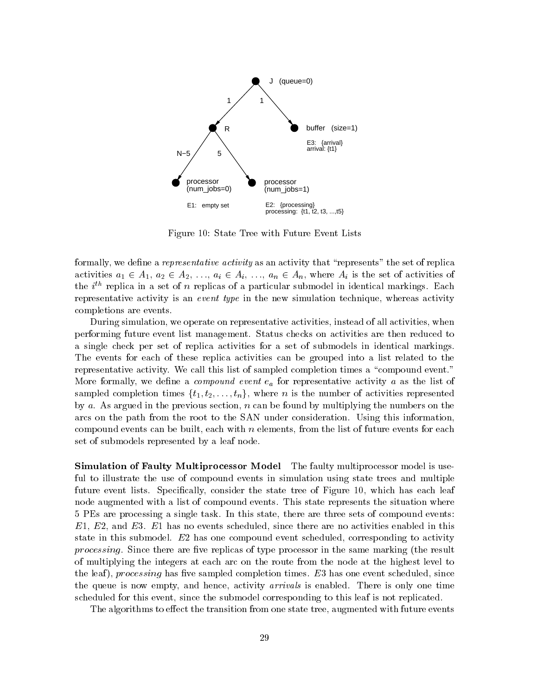

Figure 10: State Tree with Future Event Lists

formally, we define a *representative activity* as an activity that "represents" the set of replica activities  $a_1 \in A_1$ ,  $a_2 \in A_2$ , ...,  $a_i \in A_i$ , ...,  $a_n \in A_n$ , where  $A_i$  is the set of activities of the  $i^{\prime\prime}$  replica in a set of  $n$  replicas of a particular submodel in identical markings. Each representative activity is an event type in the new simulation technique, whereas activity completions are events.

During simulation, we operate on representative activities, instead of all activities, when performing future event list management. Status checks on activities are then reduced to a single check per set of replica activities for a set of submodels in identical markings. The events for each of these replica activities can be grouped into a list related to the representative activity. We call this list of sampled completion times a "compound event." More formally, we define a *compound event*  $e_a$  for representative activity a as the list of sampled completion times  $\{t_1, t_2, \ldots, t_n\}$ , where n is the number of activities represented by a. As argued in the previous section,  $n$  can be found by multiplying the numbers on the arcs on the path from the root to the SAN under consideration. Using this information, compound events can be built, each with  $n$  elements, from the list of future events for each set of submodels represented by a leaf node.

Simulation of Faulty Multiprocessor Model The faulty multiprocessor model is useful to illustrate the use of compound events in simulation using state trees and multiple future event lists. Specifically, consider the state tree of Figure 10, which has each leaf node augmented with a list of compound events. This state represents the situation where 5 PEs are processing a single task. In this state, there are three sets of compound events:  $E1, E2,$  and  $E3. E1$  has no events scheduled, since there are no activities enabled in this state in this submodel. E2 has one compound event scheduled, corresponding to activity processing. Since there are five replicas of type processor in the same marking (the result of multiplying the integers at each arc on the route from the node at the highest level to the leaf), processing has five sampled completion times.  $E3$  has one event scheduled, since the queue is now empty, and hence, activity *arrivals* is enabled. There is only one time scheduled for this event, since the submodel corresponding to this leaf is not replicated.

The algorithms to effect the transition from one state tree, augmented with future events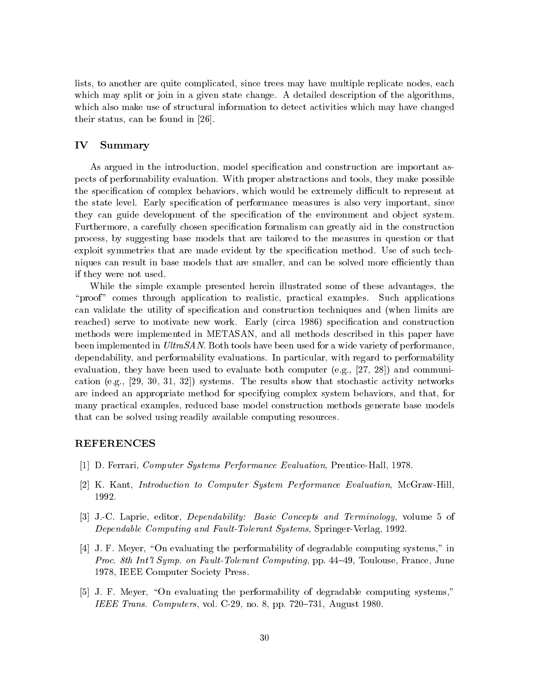lists, to another are quite complicated, since trees may have multiple replicate nodes, each which may split or join in a given state change. A detailed description of the algorithms. which also make use of structural information to detect activities which may have changed their status, can be found in [26].

## IV Summary

As argued in the introduction, model specification and construction are important aspects of performability evaluation. With proper abstractions and tools, they make possible the specification of complex behaviors, which would be extremely difficult to represent at the state level. Early specification of performance measures is also very important, since they can guide development of the specification of the environment and object system. Furthermore, a carefully chosen specification formalism can greatly aid in the construction process, by suggesting base models that are tailored to the measures in question or that exploit symmetries that are made evident by the specification method. Use of such techniques can result in base models that are smaller, and can be solved more efficiently than if they were not used.

While the simple example presented herein illustrated some of these advantages, the \proof" comes through application to realistic, practical examples. Such applications can validate the utility of specification and construction techniques and (when limits are reached) serve to motivate new work. Early (circa 1986) specification and construction methods were implemented in METASAN, and all methods described in this paper have been implemented in UltraSAN. Both tools have been used for a wide variety of performance. dependability, and performability evaluations. In particular, with regard to performability evaluation, they have been used to evaluate both computer (e.g., [27, 28]) and communication (e.g., [29, 30, 31, 32]) systems. The results show that stochastic activity networks are indeed an appropriate method for specifying complex system behaviors, and that, for many practical examples, reduced base model construction methods generate base models that can be solved using readily available computing resources.

### REFERENCES

- [1] D. Ferrari, Computer Systems Performance Evaluation, Prentice-Hall, 1978.
- [2] K. Kant, Introduction to Computer System Performance Evaluation, McGraw-Hill, 1992.
- [3] J.-C. Laprie, editor, *Dependability: Basic Concepts and Terminology*, volume 5 of Dependable Computing and Fault-Tolerant Systems, Springer-Verlag, 1992.
- [4] J. F. Meyer, "On evaluating the performability of degradable computing systems," in Proc. 8th Int'l Symp. on Fault-Tolerant Computing, pp. 44-49, Toulouse, France, June 1978, IEEE Computer Society Press.
- [5] J. F. Meyer, "On evaluating the performability of degradable computing systems," IEEE Trans. Computers, vol. C-29, no. 8, pp. 720-731, August 1980.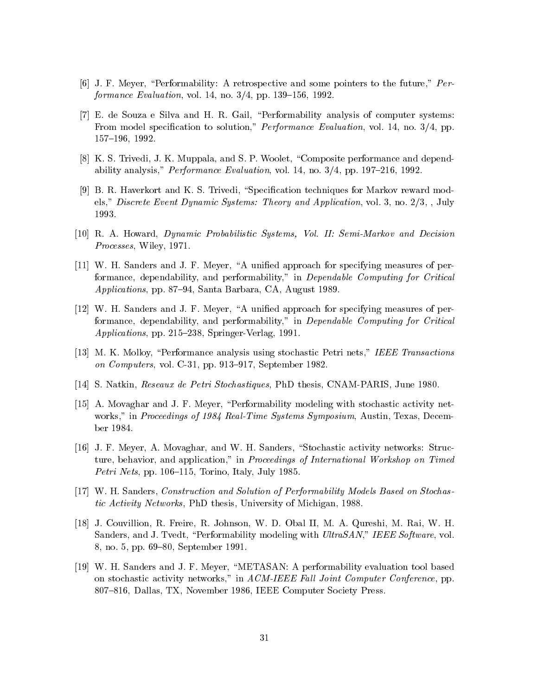- [6] J. F. Meyer, "Performability: A retrospective and some pointers to the future,"  $Per$ formance Evaluation, vol. 14, no.  $3/4$ , pp. 139–156, 1992.
- [7] E. de Souza e Silva and H. R. Gail, \Performability analysis of computer systems: From model specification to solution," *Performance Evaluation*, vol. 14, no. 3/4, pp. 157-196, 1992.
- [8] K. S. Trivedi, J. K. Muppala, and S. P. Woolet, "Composite performance and dependability analysis," *Performance Evaluation*, vol. 14, no.  $3/4$ , pp. 197-216, 1992.
- [9] B. R. Haverkort and K. S. Trivedi, "Specification techniques for Markov reward models," Discrete Event Dynamic Systems: Theory and Application, vol. 3, no. 2/3, , July 1993.
- [10] R. A. Howard, Dynamic Probabilistic Systems, Vol. II: Semi-Markov and Decision Processes, Wiley, 1971.
- [11] W. H. Sanders and J. F. Meyer, "A unified approach for specifying measures of performance, dependability, and performability," in Dependable Computing for Critical Applications, pp. 87-94, Santa Barbara, CA, August 1989.
- [12] W. H. Sanders and J. F. Meyer, "A unified approach for specifying measures of performance, dependability, and performability," in Dependable Computing for Critical Applications, pp. 215-238, Springer-Verlag, 1991.
- [13] M. K. Molloy, "Performance analysis using stochastic Petri nets," IEEE Transactions on Computers, vol. C-31, pp. 913-917, September 1982.
- [14] S. Natkin, Reseaux de Petri Stochastiques, PhD thesis, CNAM-PARIS, June 1980.
- [15] A. Movaghar and J. F. Meyer, \Performability modeling with stochastic activity networks," in Proceedings of 1984 Real-Time Systems Symposium, Austin, Texas, December 1984.
- [16] J. F. Meyer, A. Movaghar, and W. H. Sanders, "Stochastic activity networks: Structure, behavior, and application," in *Proceedings of International Workshop on Timed* Petri Nets, pp. 106–115, Torino, Italy, July 1985.
- [17] W. H. Sanders, Construction and Solution of Performability Models Based on Stochastic Activity Networks, PhD thesis, University of Michigan, 1988.
- [18] J. Couvillion, R. Freire, R. Johnson, W. D. Obal II, M. A. Qureshi, M. Rai, W. H. Sanders, and J. Tvedt, "Performability modeling with UltraSAN," IEEE Software, vol. 8, no. 5, pp. 69-80, September 1991.
- [19] W. H. Sanders and J. F. Meyer, \METASAN: A performability evaluation tool based on stochastic activity networks," in ACM-IEEE Fall Joint Computer Conference, pp. 807–816, Dallas, TX, November 1986, IEEE Computer Society Press.